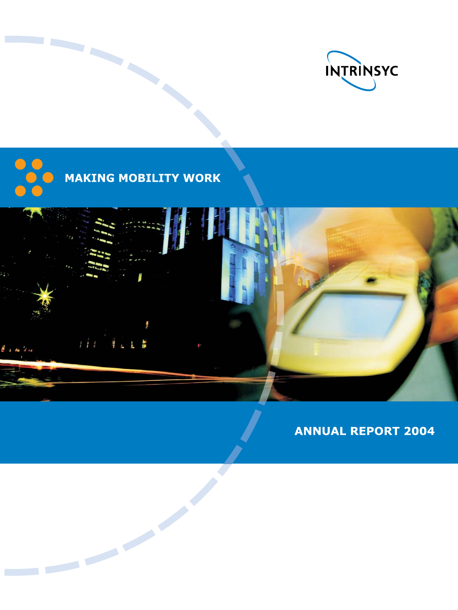





**ANNUAL REPORT 2004**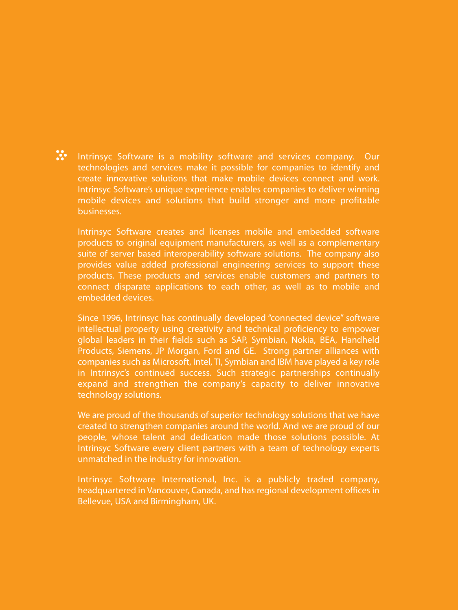W. Intrinsyc Software is a mobility software and services company. Our technologies and services make it possible for companies to identify and create innovative solutions that make mobile devices connect and work. Intrinsyc Software's unique experience enables companies to deliver winning mobile devices and solutions that build stronger and more profitable businesses.

Intrinsyc Software creates and licenses mobile and embedded software products to original equipment manufacturers, as well as a complementary suite of server based interoperability software solutions. The company also provides value added professional engineering services to support these products. These products and services enable customers and partners to connect disparate applications to each other, as well as to mobile and embedded devices.

Since 1996, Intrinsyc has continually developed "connected device" software intellectual property using creativity and technical proficiency to empower global leaders in their fields such as SAP, Symbian, Nokia, BEA, Handheld Products, Siemens, JP Morgan, Ford and GE. Strong partner alliances with companies such as Microsoft, Intel, TI, Symbian and IBM have played a key role in Intrinsyc's continued success. Such strategic partnerships continually expand and strengthen the company's capacity to deliver innovative technology solutions.

We are proud of the thousands of superior technology solutions that we have created to strengthen companies around the world. And we are proud of our people, whose talent and dedication made those solutions possible. At Intrinsyc Software every client partners with a team of technology experts unmatched in the industry for innovation.

Intrinsyc Software International, Inc. is a publicly traded company, headquartered in Vancouver, Canada, and has regional development offices in Bellevue, USA and Birmingham, UK.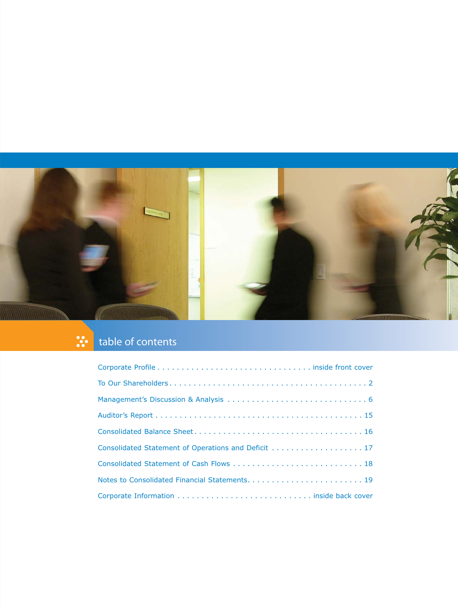

### table of contents

| Consolidated Statement of Operations and Deficit 17 |
|-----------------------------------------------------|
|                                                     |
|                                                     |
|                                                     |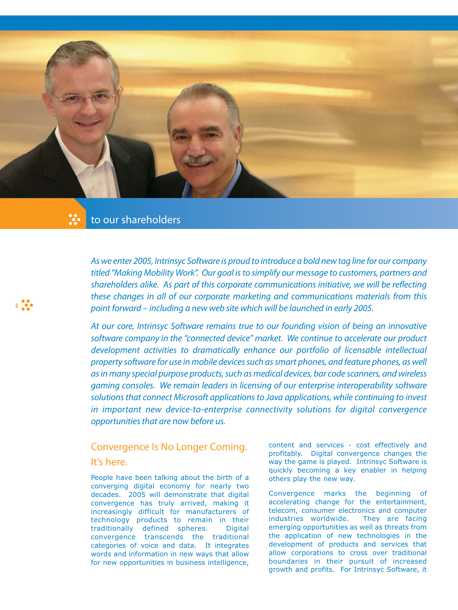

# to our shareholders

**2**

As we enter 2005, Intrinsyc Software is proud to introduce a bold new tag line for our company titled "Making Mobility Work". Our goal is to simplify our message to customers, partners and shareholders alike. As part of this corporate communications initiative, we will be reflecting these changes in all of our corporate marketing and communications materials from this point forward – including a new web site which will be launched in early 2005.

At our core, Intrinsyc Software remains true to our founding vision of being an innovative software company in the "connected device" market. We continue to accelerate our product development activities to dramatically enhance our portfolio of licensable intellectual property software for use in mobile devices such as smart phones, and feature phones, as well as in many special purpose products, such as medical devices, bar code scanners, and wireless gaming consoles. We remain leaders in licensing of our enterprise interoperability software solutions that connect Microsoft applications to Java applications, while continuing to invest in important new device-to-enterprise connectivity solutions for digital convergence opportunities that are now before us.

# Convergence Is No Longer Coming. It's here.

People have been talking about the birth of a converging digital economy for nearly two decades. 2005 will demonstrate that digital convergence has truly arrived, making it increasingly difficult for manufacturers of technology products to remain in their traditionally defined spheres. Digital convergence transcends the traditional categories of voice and data. It integrates words and information in new ways that allow for new opportunities in business intelligence, content and services - cost effectively and profitably. Digital convergence changes the way the game is played. Intrinsyc Software is quickly becoming a key enabler in helping others play the new way.

Convergence marks the beginning of accelerating change for the entertainment, telecom, consumer electronics and computer industries worldwide. They are facing emerging opportunities as well as threats from the application of new technologies in the development of products and services that allow corporations to cross over traditional boundaries in their pursuit of increased growth and profits. For Intrinsyc Software, it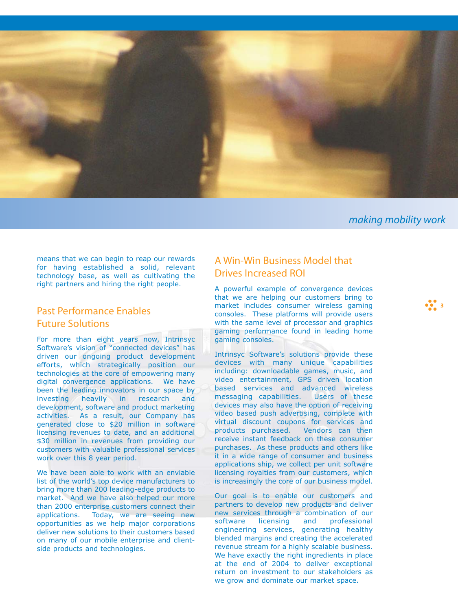

making mobility work

**3**

means that we can begin to reap our rewards for having established a solid, relevant technology base, as well as cultivating the right partners and hiring the right people.

# Past Performance Enables Future Solutions

For more than eight years now, Intrinsyc Software's vision of "connected devices" has driven our ongoing product development efforts, which strategically position our technologies at the core of empowering many digital convergence applications. We have been the leading innovators in our space by investing heavily in research and development, software and product marketing activities. As a result, our Company has generated close to \$20 million in software licensing revenues to date, and an additional \$30 million in revenues from providing our customers with valuable professional services work over this 8 year period.

We have been able to work with an enviable list of the world's top device manufacturers to bring more than 200 leading-edge products to market. And we have also helped our more than 2000 enterprise customers connect their applications. Today, we are seeing new opportunities as we help major corporations deliver new solutions to their customers based on many of our mobile enterprise and clientside products and technologies.

## A Win-Win Business Model that Drives Increased ROI

A powerful example of convergence devices that we are helping our customers bring to market includes consumer wireless gaming consoles. These platforms will provide users with the same level of processor and graphics gaming performance found in leading home gaming consoles.

Intrinsyc Software's solutions provide these devices with many unique capabilities including: downloadable games, music, and video entertainment, GPS driven location based services and advanced wireless messaging capabilities. Users of these devices may also have the option of receiving video based push advertising, complete with virtual discount coupons for services and products purchased. Vendors can then receive instant feedback on these consumer purchases. As these products and others like it in a wide range of consumer and business applications ship, we collect per unit software licensing royalties from our customers, which is increasingly the core of our business model.

Our goal is to enable our customers and partners to develop new products and deliver new services through a combination of our<br>software licensing and professional software licensing and engineering services, generating healthy blended margins and creating the accelerated revenue stream for a highly scalable business. We have exactly the right ingredients in place at the end of 2004 to deliver exceptional return on investment to our stakeholders as we grow and dominate our market space.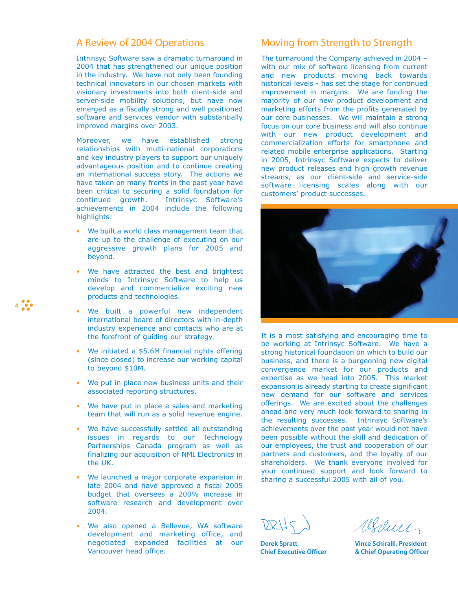## A Review of 2004 Operations

Intrinsyc Software saw a dramatic turnaround in 2004 that has strengthened our unique position in the industry. We have not only been founding technical innovators in our chosen markets with visionary investments into both client-side and server-side mobility solutions, but have now emerged as a fiscally strong and well positioned software and services vendor with substantially improved margins over 2003.

Moreover, we have established strong relationships with multi-national corporations and key industry players to support our uniquely advantageous position and to continue creating an international success story. The actions we have taken on many fronts in the past year have been critical to securing a solid foundation for continued growth. Intrinsyc Software's achievements in 2004 include the following highlights:

- We built a world class management team that are up to the challenge of executing on our aggressive growth plans for 2005 and beyond.
- We have attracted the best and brightest minds to Intrinsyc Software to help us develop and commercialize exciting new products and technologies.

**4**

- We built a powerful new independent international board of directors with in-depth industry experience and contacts who are at the forefront of guiding our strategy.
- We initiated a \$5.6M financial rights offering (since closed) to increase our working capital to beyond \$10M.
- We put in place new business units and their associated reporting structures.
- We have put in place a sales and marketing team that will run as a solid revenue engine.
- We have successfully settled all outstanding issues in regards to our Technology Partnerships Canada program as well as finalizing our acquisition of NMI Electronics in the UK.
- We launched a major corporate expansion in late 2004 and have approved a fiscal 2005 budget that oversees a 200% increase in software research and development over 2004.
- We also opened a Bellevue, WA software development and marketing office, and negotiated expanded facilities at our Vancouver head office.

## Moving from Strength to Strength

The turnaround the Company achieved in 2004 – with our mix of software licensing from current and new products moving back towards historical levels - has set the stage for continued improvement in margins. We are funding the majority of our new product development and marketing efforts from the profits generated by our core businesses. We will maintain a strong focus on our core business and will also continue with our new product development and commercialization efforts for smartphone and related mobile enterprise applications. Starting in 2005, Intrinsyc Software expects to deliver new product releases and high growth revenue streams, as our client-side and service-side software licensing scales along with our customers' product successes.



It is a most satisfying and encouraging time to be working at Intrinsyc Software. We have a strong historical foundation on which to build our business, and there is a burgeoning new digital convergence market for our products and expertise as we head into 2005. This market expansion is already starting to create significant new demand for our software and services offerings. We are excited about the challenges ahead and very much look forward to sharing in the resulting successes. Intrinsyc Software's achievements over the past year would not have been possible without the skill and dedication of our employees, the trust and cooperation of our partners and customers, and the loyalty of our shareholders. We thank everyone involved for your continued support and look forward to sharing a successful 2005 with all of you.

**Derek Spratt, Chief Executive Officer**

Weder

**Vince Schiralli, President & Chief Operating Officer**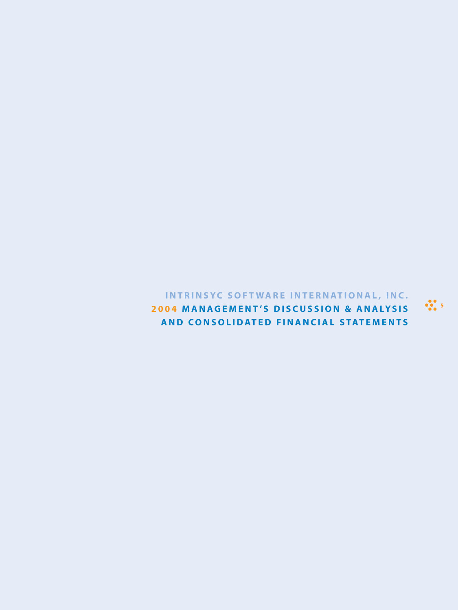**INTRINSYC SOFT WARE INTERNATIONAL, INC. 2004 MANAGEMENT 'S DISCUSSION & ANALYSIS AND CONSOLIDATED FINANCIAL STATEMENTS**

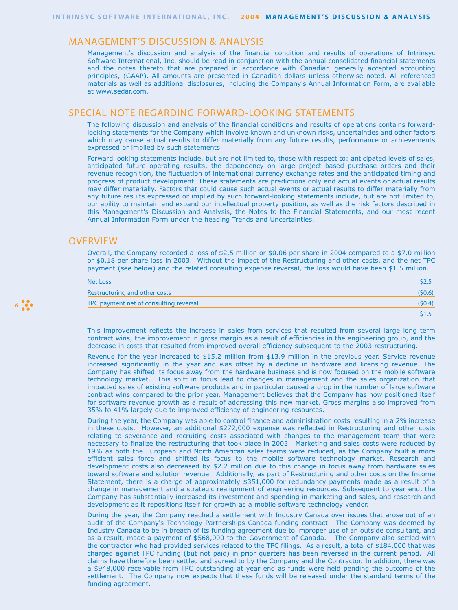## MANAGEMENT'S DISCUSSION & ANALYSIS

Management's discussion and analysis of the financial condition and results of operations of Intrinsyc Software International, Inc. should be read in conjunction with the annual consolidated financial statements and the notes thereto that are prepared in accordance with Canadian generally accepted accounting principles, (GAAP). All amounts are presented in Canadian dollars unless otherwise noted. All referenced materials as well as additional disclosures, including the Company's Annual Information Form, are available at www.sedar.com.

### SPECIAL NOTE REGARDING FORWARD-LOOKING STATEMENTS

The following discussion and analysis of the financial conditions and results of operations contains forwardlooking statements for the Company which involve known and unknown risks, uncertainties and other factors which may cause actual results to differ materially from any future results, performance or achievements expressed or implied by such statements.

Forward looking statements include, but are not limited to, those with respect to: anticipated levels of sales, anticipated future operating results, the dependency on large project based purchase orders and their revenue recognition, the fluctuation of international currency exchange rates and the anticipated timing and progress of product development. These statements are predictions only and actual events or actual results may differ materially. Factors that could cause such actual events or actual results to differ materially from any future results expressed or implied by such forward-looking statements include, but are not limited to, our ability to maintain and expand our intellectual property position, as well as the risk factors described in this Management's Discussion and Analysis, the Notes to the Financial Statements, and our most recent Annual Information Form under the heading Trends and Uncertainties.

### **OVERVIEW**

Overall, the Company recorded a loss of \$2.5 million or \$0.06 per share in 2004 compared to a \$7.0 million or \$0.18 per share loss in 2003. Without the impact of the Restructuring and other costs, and the net TPC payment (see below) and the related consulting expense reversal, the loss would have been \$1.5 million.

| Net Loss                               |        |
|----------------------------------------|--------|
| Restructuring and other costs          | (50.6) |
| TPC payment net of consulting reversal | (50.4) |
|                                        |        |

This improvement reflects the increase in sales from services that resulted from several large long term contract wins, the improvement in gross margin as a result of efficiencies in the engineering group, and the decrease in costs that resulted from improved overall efficiency subsequent to the 2003 restructuring.

Revenue for the year increased to \$15.2 million from \$13.9 million in the previous year. Service revenue increased significantly in the year and was offset by a decline in hardware and licensing revenue. The Company has shifted its focus away from the hardware business and is now focused on the mobile software technology market. This shift in focus lead to changes in management and the sales organization that impacted sales of existing software products and in particular caused a drop in the number of large software contract wins compared to the prior year. Management believes that the Company has now positioned itself for software revenue growth as a result of addressing this new market. Gross margins also improved from 35% to 41% largely due to improved efficiency of engineering resources.

During the year, the Company was able to control finance and administration costs resulting in a 2% increase in these costs. However, an additional \$272,000 expense was reflected in Restructuring and other costs relating to severance and recruiting costs associated with changes to the management team that were necessary to finalize the restructuring that took place in 2003. Marketing and sales costs were reduced by 19% as both the European and North American sales teams were reduced, as the Company built a more efficient sales force and shifted its focus to the mobile software technology market. Research and development costs also decreased by \$2.2 million due to this change in focus away from hardware sales toward software and solution revenue. Additionally, as part of Restructuring and other costs on the Income Statement, there is a charge of approximately \$351,000 for redundancy payments made as a result of a change in management and a strategic realignment of engineering resources. Subsequent to year end, the Company has substantially increased its investment and spending in marketing and sales, and research and development as it repositions itself for growth as a mobile software technology vendor.

During the year, the Company reached a settlement with Industry Canada over issues that arose out of an audit of the Company's Technology Partnerships Canada funding contract. The Company was deemed by Industry Canada to be in breach of its funding agreement due to improper use of an outside consultant, and as a result, made a payment of \$568,000 to the Government of Canada. The Company also settled with the contractor who had provided services related to the TPC filings. As a result, a total of \$184,000 that was charged against TPC funding (but not paid) in prior quarters has been reversed in the current period. All claims have therefore been settled and agreed to by the Company and the Contractor. In addition, there was a \$948,000 receivable from TPC outstanding at year end as funds were held pending the outcome of the settlement. The Company now expects that these funds will be released under the standard terms of the funding agreement.

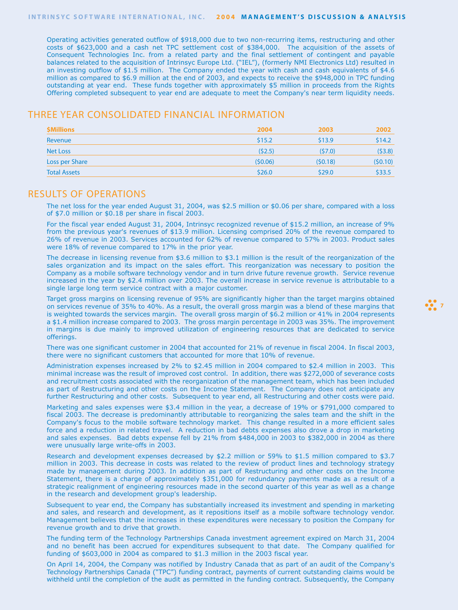Operating activities generated outflow of \$918,000 due to two non-recurring items, restructuring and other costs of \$623,000 and a cash net TPC settlement cost of \$384,000. The acquisition of the assets of Consequent Technologies Inc. from a related party and the final settlement of contingent and payable balances related to the acquisition of Intrinsyc Europe Ltd. ("IEL"), (formerly NMI Electronics Ltd) resulted in an investing outflow of \$1.5 million. The Company ended the year with cash and cash equivalents of \$4.6 million as compared to \$6.9 million at the end of 2003, and expects to receive the \$948,000 in TPC funding outstanding at year end. These funds together with approximately \$5 million in proceeds from the Rights Offering completed subsequent to year end are adequate to meet the Company's near term liquidity needs.

## THREE YEAR CONSOLIDATED FINANCIAL INFORMATION

| <b>\$Millions</b>   | 2004    | 2003    | 2002    |
|---------------------|---------|---------|---------|
| Revenue             | \$15.2  | \$13.9  | \$14.2  |
| <b>Net Loss</b>     | (52.5)  | (57.0)  | (53.8)  |
| Loss per Share      | (50.06) | (50.18) | (50.10) |
| <b>Total Assets</b> | \$26.0  | \$29.0  | \$33.5  |

### RESULTS OF OPERATIONS

The net loss for the year ended August 31, 2004, was \$2.5 million or \$0.06 per share, compared with a loss of \$7.0 million or \$0.18 per share in fiscal 2003.

For the fiscal year ended August 31, 2004, Intrinsyc recognized revenue of \$15.2 million, an increase of 9% from the previous year's revenues of \$13.9 million. Licensing comprised 20% of the revenue compared to 26% of revenue in 2003. Services accounted for 62% of revenue compared to 57% in 2003. Product sales were 18% of revenue compared to 17% in the prior year.

The decrease in licensing revenue from \$3.6 million to \$3.1 million is the result of the reorganization of the sales organization and its impact on the sales effort. This reorganization was necessary to position the Company as a mobile software technology vendor and in turn drive future revenue growth. Service revenue increased in the year by \$2.4 million over 2003. The overall increase in service revenue is attributable to a single large long term service contract with a major customer.

Target gross margins on licensing revenue of 95% are significantly higher than the target margins obtained on services revenue of 35% to 40%. As a result, the overall gross margin was a blend of these margins that is weighted towards the services margin. The overall gross margin of \$6.2 million or 41% in 2004 represents a \$1.4 million increase compared to 2003. The gross margin percentage in 2003 was 35%. The improvement in margins is due mainly to improved utilization of engineering resources that are dedicated to service offerings.

*P<sub>2</sub>* 7

There was one significant customer in 2004 that accounted for 21% of revenue in fiscal 2004. In fiscal 2003, there were no significant customers that accounted for more that 10% of revenue.

Administration expenses increased by 2% to \$2.45 million in 2004 compared to \$2.4 million in 2003. This minimal increase was the result of improved cost control. In addition, there was \$272,000 of severance costs and recruitment costs associated with the reorganization of the management team, which has been included as part of Restructuring and other costs on the Income Statement. The Company does not anticipate any further Restructuring and other costs. Subsequent to year end, all Restructuring and other costs were paid.

Marketing and sales expenses were \$3.4 million in the year, a decrease of 19% or \$791,000 compared to fiscal 2003. The decrease is predominantly attributable to reorganizing the sales team and the shift in the Company's focus to the mobile software technology market. This change resulted in a more efficient sales force and a reduction in related travel. A reduction in bad debts expenses also drove a drop in marketing and sales expenses. Bad debts expense fell by 21% from \$484,000 in 2003 to \$382,000 in 2004 as there were unusually large write-offs in 2003.

Research and development expenses decreased by \$2.2 million or 59% to \$1.5 million compared to \$3.7 million in 2003. This decrease in costs was related to the review of product lines and technology strategy made by management during 2003. In addition as part of Restructuring and other costs on the Income Statement, there is a charge of approximately \$351,000 for redundancy payments made as a result of a strategic realignment of engineering resources made in the second quarter of this year as well as a change in the research and development group's leadership.

Subsequent to year end, the Company has substantially increased its investment and spending in marketing and sales, and research and development, as it repositions itself as a mobile software technology vendor. Management believes that the increases in these expenditures were necessary to position the Company for revenue growth and to drive that growth.

The funding term of the Technology Partnerships Canada investment agreement expired on March 31, 2004 and no benefit has been accrued for expenditures subsequent to that date. The Company qualified for funding of \$603,000 in 2004 as compared to \$1.3 million in the 2003 fiscal year.

On April 14, 2004, the Company was notified by Industry Canada that as part of an audit of the Company's Technology Partnerships Canada ("TPC") funding contract, payments of current outstanding claims would be withheld until the completion of the audit as permitted in the funding contract. Subsequently, the Company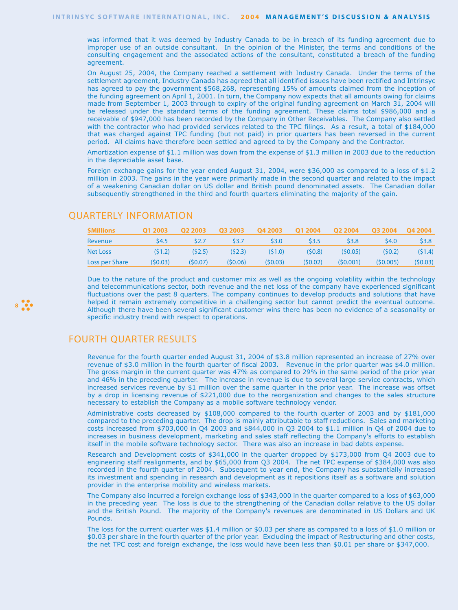was informed that it was deemed by Industry Canada to be in breach of its funding agreement due to improper use of an outside consultant. In the opinion of the Minister, the terms and conditions of the consulting engagement and the associated actions of the consultant, constituted a breach of the funding agreement.

On August 25, 2004, the Company reached a settlement with Industry Canada. Under the terms of the settlement agreement, Industry Canada has agreed that all identified issues have been rectified and Intrinsyc has agreed to pay the government \$568,268, representing 15% of amounts claimed from the inception of the funding agreement on April 1, 2001. In turn, the Company now expects that all amounts owing for claims made from September 1, 2003 through to expiry of the original funding agreement on March 31, 2004 will be released under the standard terms of the funding agreement. These claims total \$986,000 and a receivable of \$947,000 has been recorded by the Company in Other Receivables. The Company also settled with the contractor who had provided services related to the TPC filings. As a result, a total of \$184,000 that was charged against TPC funding (but not paid) in prior quarters has been reversed in the current period. All claims have therefore been settled and agreed to by the Company and the Contractor.

Amortization expense of \$1.1 million was down from the expense of \$1.3 million in 2003 due to the reduction in the depreciable asset base.

Foreign exchange gains for the year ended August 31, 2004, were \$36,000 as compared to a loss of \$1.2 million in 2003. The gains in the year were primarily made in the second quarter and related to the impact of a weakening Canadian dollar on US dollar and British pound denominated assets. The Canadian dollar subsequently strengthened in the third and fourth quarters eliminating the majority of the gain.

| <b>SMillions</b> | <b>Q1 2003</b> | <b>Q2 2003</b> | <b>Q3 2003</b> | <b>Q4 2003</b> | <b>Q1 2004</b> | <b>Q2 2004</b> | <b>03 2004</b> | O4 2004 |
|------------------|----------------|----------------|----------------|----------------|----------------|----------------|----------------|---------|
| Revenue          | S4.5           | S2.7           | S3.7           | \$3.0          | S3.5           | \$3.8          | S4.0           | \$3.8   |
| Net Loss         | (51.2)         | (52.5)         | (52.3)         | (51.0)         | (50.8)         | (50.05)        | (50.2)         | (51.4)  |
| Loss per Share   | (50.03)        | (50.07)        | (50.06)        | (50.03)        | (50.02)        | (50.001)       | (50.005)       | (50.03) |

## QUARTERLY INFORMATION

Due to the nature of the product and customer mix as well as the ongoing volatility within the technology and telecommunications sector, both revenue and the net loss of the company have experienced significant fluctuations over the past 8 quarters. The company continues to develop products and solutions that have helped it remain extremely competitive in a challenging sector but cannot predict the eventual outcome. Although there have been several significant customer wins there has been no evidence of a seasonality or specific industry trend with respect to operations.

## FOURTH QUARTER RESULTS

**8**

Revenue for the fourth quarter ended August 31, 2004 of \$3.8 million represented an increase of 27% over revenue of \$3.0 million in the fourth quarter of fiscal 2003. Revenue in the prior quarter was \$4.0 million. The gross margin in the current quarter was 47% as compared to 29% in the same period of the prior year and 46% in the preceding quarter. The increase in revenue is due to several large service contracts, which increased services revenue by \$1 million over the same quarter in the prior year. The increase was offset by a drop in licensing revenue of \$221,000 due to the reorganization and changes to the sales structure necessary to establish the Company as a mobile software technology vendor.

Administrative costs decreased by \$108,000 compared to the fourth quarter of 2003 and by \$181,000 compared to the preceding quarter. The drop is mainly attributable to staff reductions. Sales and marketing costs increased from \$703,000 in Q4 2003 and \$844,000 in Q3 2004 to \$1.1 million in Q4 of 2004 due to increases in business development, marketing and sales staff reflecting the Company's efforts to establish itself in the mobile software technology sector. There was also an increase in bad debts expense.

Research and Development costs of \$341,000 in the quarter dropped by \$173,000 from Q4 2003 due to engineering staff realignments, and by \$65,000 from Q3 2004. The net TPC expense of \$384,000 was also recorded in the fourth quarter of 2004. Subsequent to year end, the Company has substantially increased its investment and spending in research and development as it repositions itself as a software and solution provider in the enterprise mobility and wireless markets.

The Company also incurred a foreign exchange loss of \$343,000 in the quarter compared to a loss of \$63,000 in the preceding year. The loss is due to the strengthening of the Canadian dollar relative to the US dollar and the British Pound. The majority of the Company's revenues are denominated in US Dollars and UK Pounds.

The loss for the current quarter was \$1.4 million or \$0.03 per share as compared to a loss of \$1.0 million or \$0.03 per share in the fourth quarter of the prior year. Excluding the impact of Restructuring and other costs, the net TPC cost and foreign exchange, the loss would have been less than \$0.01 per share or \$347,000.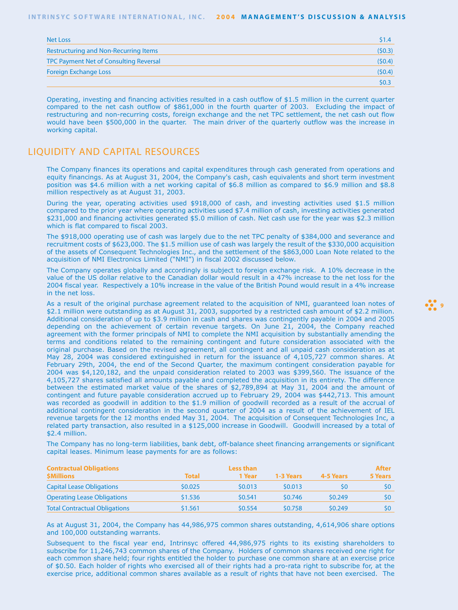| <b>Net Loss</b>                              | \$1.4  |
|----------------------------------------------|--------|
| <b>Restructuring and Non-Recurring Items</b> | (50.3) |
| TPC Payment Net of Consulting Reversal       | (50.4) |
| <b>Foreign Exchange Loss</b>                 | (50.4) |
|                                              | \$0.3  |

Operating, investing and financing activities resulted in a cash outflow of \$1.5 million in the current quarter compared to the net cash outflow of \$861,000 in the fourth quarter of 2003. Excluding the impact of restructuring and non-recurring costs, foreign exchange and the net TPC settlement, the net cash out flow would have been \$500,000 in the quarter. The main driver of the quarterly outflow was the increase in working capital.

## LIQUIDITY AND CAPITAL RESOURCES

The Company finances its operations and capital expenditures through cash generated from operations and equity financings. As at August 31, 2004, the Company's cash, cash equivalents and short term investment position was \$4.6 million with a net working capital of \$6.8 million as compared to \$6.9 million and \$8.8 million respectively as at August 31, 2003.

During the year, operating activities used \$918,000 of cash, and investing activities used \$1.5 million compared to the prior year where operating activities used \$7.4 million of cash, investing activities generated \$231,000 and financing activities generated \$5.0 million of cash. Net cash use for the year was \$2.3 million which is flat compared to fiscal 2003.

The \$918,000 operating use of cash was largely due to the net TPC penalty of \$384,000 and severance and recruitment costs of \$623,000. The \$1.5 million use of cash was largely the result of the \$330,000 acquisition of the assets of Consequent Technologies Inc., and the settlement of the \$863,000 Loan Note related to the acquisition of NMI Electronics Limited ("NMI") in fiscal 2002 discussed below.

The Company operates globally and accordingly is subject to foreign exchange risk. A 10% decrease in the value of the US dollar relative to the Canadian dollar would result in a 47% increase to the net loss for the 2004 fiscal year. Respectively a 10% increase in the value of the British Pound would result in a 4% increase in the net loss.

As a result of the original purchase agreement related to the acquisition of NMI, guaranteed loan notes of \$2.1 million were outstanding as at August 31, 2003, supported by a restricted cash amount of \$2.2 million. Additional consideration of up to \$3.9 million in cash and shares was contingently payable in 2004 and 2005 depending on the achievement of certain revenue targets. On June 21, 2004, the Company reached agreement with the former principals of NMI to complete the NMI acquisition by substantially amending the terms and conditions related to the remaining contingent and future consideration associated with the original purchase. Based on the revised agreement, all contingent and all unpaid cash consideration as at May 28, 2004 was considered extinguished in return for the issuance of 4,105,727 common shares. At February 29th, 2004, the end of the Second Quarter, the maximum contingent consideration payable for 2004 was \$4,120,182, and the unpaid consideration related to 2003 was \$399,560. The issuance of the 4,105,727 shares satisfied all amounts payable and completed the acquisition in its entirety. The difference between the estimated market value of the shares of \$2,789,894 at May 31, 2004 and the amount of contingent and future payable consideration accrued up to February 29, 2004 was \$442,713. This amount was recorded as goodwill in addition to the \$1.9 million of goodwill recorded as a result of the accrual of additional contingent consideration in the second quarter of 2004 as a result of the achievement of IEL revenue targets for the 12 months ended May 31, 2004. The acquisition of Consequent Technologies Inc, a related party transaction, also resulted in a \$125,000 increase in Goodwill. Goodwill increased by a total of \$2.4 million.

The Company has no long-term liabilities, bank debt, off-balance sheet financing arrangements or significant capital leases. Minimum lease payments for are as follows:

| <b>Contractual Obligations</b>       |         | Less than |           |           | After   |
|--------------------------------------|---------|-----------|-----------|-----------|---------|
| <b>\$Millions</b>                    | Total   | 1 Year    | 1-3 Years | 4-5 Years | 5 Years |
| <b>Capital Lease Obligations</b>     | \$0.025 | \$0.013   | \$0.013   | \$0       |         |
| <b>Operating Lease Obligations</b>   | \$1,536 | \$0.541   | \$0.746   | \$0.249   |         |
| <b>Total Contractual Obligations</b> | \$1.561 | \$0.554   | \$0.758   | \$0.249   |         |

As at August 31, 2004, the Company has 44,986,975 common shares outstanding, 4,614,906 share options and 100,000 outstanding warrants.

Subsequent to the fiscal year end, Intrinsyc offered 44,986,975 rights to its existing shareholders to subscribe for 11,246,743 common shares of the Company. Holders of common shares received one right for each common share held; four rights entitled the holder to purchase one common share at an exercise price of \$0.50. Each holder of rights who exercised all of their rights had a pro-rata right to subscribe for, at the exercise price, additional common shares available as a result of rights that have not been exercised. The

**99**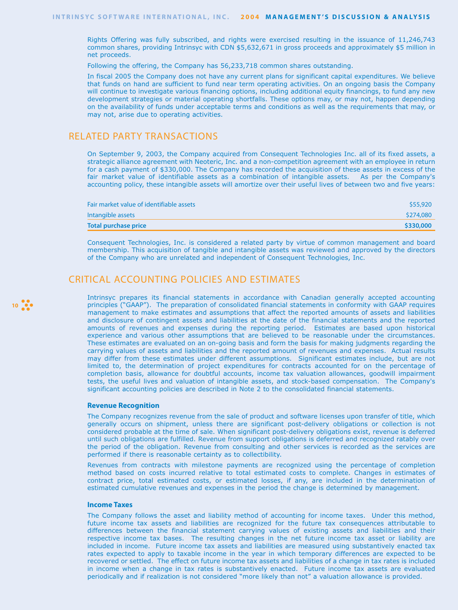Rights Offering was fully subscribed, and rights were exercised resulting in the issuance of 11,246,743 common shares, providing Intrinsyc with CDN \$5,632,671 in gross proceeds and approximately \$5 million in net proceeds.

Following the offering, the Company has 56,233,718 common shares outstanding.

In fiscal 2005 the Company does not have any current plans for significant capital expenditures. We believe that funds on hand are sufficient to fund near term operating activities. On an ongoing basis the Company will continue to investigate various financing options, including additional equity financings, to fund any new development strategies or material operating shortfalls. These options may, or may not, happen depending on the availability of funds under acceptable terms and conditions as well as the requirements that may, or may not, arise due to operating activities.

## RELATED PARTY TRANSACTIONS

On September 9, 2003, the Company acquired from Consequent Technologies Inc. all of its fixed assets, a strategic alliance agreement with Neoteric, Inc. and a non-competition agreement with an employee in return for a cash payment of \$330,000. The Company has recorded the acquisition of these assets in excess of the fair market value of identifiable assets as a combination of intangible assets. As per the Company's accounting policy, these intangible assets will amortize over their useful lives of between two and five years:

| Fair market value of identifiable assets | \$55,920  |
|------------------------------------------|-----------|
| Intangible assets                        | \$274,080 |
| Total purchase price                     | \$330,000 |

Consequent Technologies, Inc. is considered a related party by virtue of common management and board membership. This acquisition of tangible and intangible assets was reviewed and approved by the directors of the Company who are unrelated and independent of Consequent Technologies, Inc.

## CRITICAL ACCOUNTING POLICIES AND ESTIMATES

Intrinsyc prepares its financial statements in accordance with Canadian generally accepted accounting principles ("GAAP"). The preparation of consolidated financial statements in conformity with GAAP requires management to make estimates and assumptions that affect the reported amounts of assets and liabilities and disclosure of contingent assets and liabilities at the date of the financial statements and the reported amounts of revenues and expenses during the reporting period. Estimates are based upon historical experience and various other assumptions that are believed to be reasonable under the circumstances. These estimates are evaluated on an on-going basis and form the basis for making judgments regarding the carrying values of assets and liabilities and the reported amount of revenues and expenses. Actual results may differ from these estimates under different assumptions. Significant estimates include, but are not limited to, the determination of project expenditures for contracts accounted for on the percentage of completion basis, allowance for doubtful accounts, income tax valuation allowances, goodwill impairment tests, the useful lives and valuation of intangible assets, and stock-based compensation. The Company's significant accounting policies are described in Note 2 to the consolidated financial statements.

### **Revenue Recognition**

The Company recognizes revenue from the sale of product and software licenses upon transfer of title, which generally occurs on shipment, unless there are significant post-delivery obligations or collection is not considered probable at the time of sale. When significant post-delivery obligations exist, revenue is deferred until such obligations are fulfilled. Revenue from support obligations is deferred and recognized ratably over the period of the obligation. Revenue from consulting and other services is recorded as the services are performed if there is reasonable certainty as to collectibility.

Revenues from contracts with milestone payments are recognized using the percentage of completion method based on costs incurred relative to total estimated costs to complete. Changes in estimates of contract price, total estimated costs, or estimated losses, if any, are included in the determination of estimated cumulative revenues and expenses in the period the change is determined by management.

#### **Income Taxes**

The Company follows the asset and liability method of accounting for income taxes. Under this method, future income tax assets and liabilities are recognized for the future tax consequences attributable to differences between the financial statement carrying values of existing assets and liabilities and their respective income tax bases. The resulting changes in the net future income tax asset or liability are included in income. Future income tax assets and liabilities are measured using substantively enacted tax rates expected to apply to taxable income in the year in which temporary differences are expected to be recovered or settled. The effect on future income tax assets and liabilities of a change in tax rates is included in income when a change in tax rates is substantively enacted. Future income tax assets are evaluated periodically and if realization is not considered "more likely than not" a valuation allowance is provided.

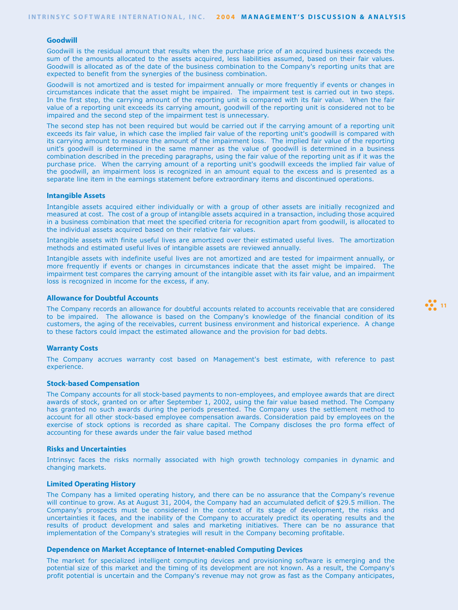#### **Goodwill**

Goodwill is the residual amount that results when the purchase price of an acquired business exceeds the sum of the amounts allocated to the assets acquired, less liabilities assumed, based on their fair values. Goodwill is allocated as of the date of the business combination to the Company's reporting units that are expected to benefit from the synergies of the business combination.

Goodwill is not amortized and is tested for impairment annually or more frequently if events or changes in circumstances indicate that the asset might be impaired. The impairment test is carried out in two steps. In the first step, the carrying amount of the reporting unit is compared with its fair value. When the fair value of a reporting unit exceeds its carrying amount, goodwill of the reporting unit is considered not to be impaired and the second step of the impairment test is unnecessary.

The second step has not been required but would be carried out if the carrying amount of a reporting unit exceeds its fair value, in which case the implied fair value of the reporting unit's goodwill is compared with its carrying amount to measure the amount of the impairment loss. The implied fair value of the reporting unit's goodwill is determined in the same manner as the value of goodwill is determined in a business combination described in the preceding paragraphs, using the fair value of the reporting unit as if it was the purchase price. When the carrying amount of a reporting unit's goodwill exceeds the implied fair value of the goodwill, an impairment loss is recognized in an amount equal to the excess and is presented as a separate line item in the earnings statement before extraordinary items and discontinued operations.

#### **Intangible Assets**

Intangible assets acquired either individually or with a group of other assets are initially recognized and measured at cost. The cost of a group of intangible assets acquired in a transaction, including those acquired in a business combination that meet the specified criteria for recognition apart from goodwill, is allocated to the individual assets acquired based on their relative fair values.

Intangible assets with finite useful lives are amortized over their estimated useful lives. The amortization methods and estimated useful lives of intangible assets are reviewed annually.

Intangible assets with indefinite useful lives are not amortized and are tested for impairment annually, or more frequently if events or changes in circumstances indicate that the asset might be impaired. The impairment test compares the carrying amount of the intangible asset with its fair value, and an impairment loss is recognized in income for the excess, if any.

### **Allowance for Doubtful Accounts**

The Company records an allowance for doubtful accounts related to accounts receivable that are considered to be impaired. The allowance is based on the Company's knowledge of the financial condition of its customers, the aging of the receivables, current business environment and historical experience. A change to these factors could impact the estimated allowance and the provision for bad debts.

**12** 11

#### **Warranty Costs**

The Company accrues warranty cost based on Management's best estimate, with reference to past experience.

#### **Stock-based Compensation**

The Company accounts for all stock-based payments to non-employees, and employee awards that are direct awards of stock, granted on or after September 1, 2002, using the fair value based method. The Company has granted no such awards during the periods presented. The Company uses the settlement method to account for all other stock-based employee compensation awards. Consideration paid by employees on the exercise of stock options is recorded as share capital. The Company discloses the pro forma effect of accounting for these awards under the fair value based method

#### **Risks and Uncertainties**

Intrinsyc faces the risks normally associated with high growth technology companies in dynamic and changing markets.

#### **Limited Operating History**

The Company has a limited operating history, and there can be no assurance that the Company's revenue will continue to grow. As at August 31, 2004, the Company had an accumulated deficit of \$29.5 million. The Company's prospects must be considered in the context of its stage of development, the risks and uncertainties it faces, and the inability of the Company to accurately predict its operating results and the results of product development and sales and marketing initiatives. There can be no assurance that implementation of the Company's strategies will result in the Company becoming profitable.

### **Dependence on Market Acceptance of Internet-enabled Computing Devices**

The market for specialized intelligent computing devices and provisioning software is emerging and the potential size of this market and the timing of its development are not known. As a result, the Company's profit potential is uncertain and the Company's revenue may not grow as fast as the Company anticipates,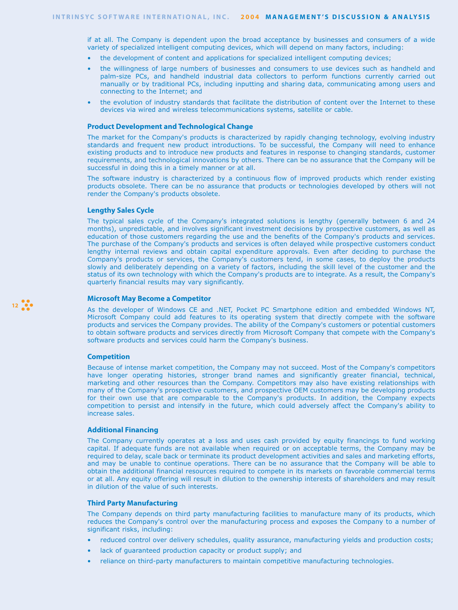if at all. The Company is dependent upon the broad acceptance by businesses and consumers of a wide variety of specialized intelligent computing devices, which will depend on many factors, including:

- the development of content and applications for specialized intelligent computing devices;
- the willingness of large numbers of businesses and consumers to use devices such as handheld and palm-size PCs, and handheld industrial data collectors to perform functions currently carried out manually or by traditional PCs, including inputting and sharing data, communicating among users and connecting to the Internet; and
- the evolution of industry standards that facilitate the distribution of content over the Internet to these devices via wired and wireless telecommunications systems, satellite or cable.

### **Product Development and Technological Change**

The market for the Company's products is characterized by rapidly changing technology, evolving industry standards and frequent new product introductions. To be successful, the Company will need to enhance existing products and to introduce new products and features in response to changing standards, customer requirements, and technological innovations by others. There can be no assurance that the Company will be successful in doing this in a timely manner or at all.

The software industry is characterized by a continuous flow of improved products which render existing products obsolete. There can be no assurance that products or technologies developed by others will not render the Company's products obsolete.

### **Lengthy Sales Cycle**

The typical sales cycle of the Company's integrated solutions is lengthy (generally between 6 and 24 months), unpredictable, and involves significant investment decisions by prospective customers, as well as education of those customers regarding the use and the benefits of the Company's products and services. The purchase of the Company's products and services is often delayed while prospective customers conduct lengthy internal reviews and obtain capital expenditure approvals. Even after deciding to purchase the Company's products or services, the Company's customers tend, in some cases, to deploy the products slowly and deliberately depending on a variety of factors, including the skill level of the customer and the status of its own technology with which the Company's products are to integrate. As a result, the Company's quarterly financial results may vary significantly.

#### **Microsoft May Become a Competitor**

As the developer of Windows CE and .NET, Pocket PC Smartphone edition and embedded Windows NT, Microsoft Company could add features to its operating system that directly compete with the software products and services the Company provides. The ability of the Company's customers or potential customers to obtain software products and services directly from Microsoft Company that compete with the Company's software products and services could harm the Company's business.

#### **Competition**

**12 12** 

Because of intense market competition, the Company may not succeed. Most of the Company's competitors have longer operating histories, stronger brand names and significantly greater financial, technical, marketing and other resources than the Company. Competitors may also have existing relationships with many of the Company's prospective customers, and prospective OEM customers may be developing products for their own use that are comparable to the Company's products. In addition, the Company expects competition to persist and intensify in the future, which could adversely affect the Company's ability to increase sales.

### **Additional Financing**

The Company currently operates at a loss and uses cash provided by equity financings to fund working capital. If adequate funds are not available when required or on acceptable terms, the Company may be required to delay, scale back or terminate its product development activities and sales and marketing efforts, and may be unable to continue operations. There can be no assurance that the Company will be able to obtain the additional financial resources required to compete in its markets on favorable commercial terms or at all. Any equity offering will result in dilution to the ownership interests of shareholders and may result in dilution of the value of such interests.

### **Third Party Manufacturing**

The Company depends on third party manufacturing facilities to manufacture many of its products, which reduces the Company's control over the manufacturing process and exposes the Company to a number of significant risks, including:

- reduced control over delivery schedules, quality assurance, manufacturing yields and production costs;
- lack of guaranteed production capacity or product supply; and
- reliance on third-party manufacturers to maintain competitive manufacturing technologies.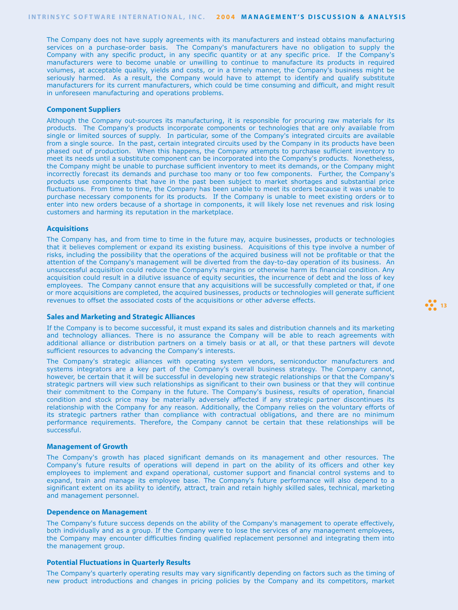The Company does not have supply agreements with its manufacturers and instead obtains manufacturing services on a purchase-order basis. The Company's manufacturers have no obligation to supply the Company with any specific product, in any specific quantity or at any specific price. If the Company's manufacturers were to become unable or unwilling to continue to manufacture its products in required volumes, at acceptable quality, yields and costs, or in a timely manner, the Company's business might be seriously harmed. As a result, the Company would have to attempt to identify and qualify substitute manufacturers for its current manufacturers, which could be time consuming and difficult, and might result in unforeseen manufacturing and operations problems.

#### **Component Suppliers**

Although the Company out-sources its manufacturing, it is responsible for procuring raw materials for its products. The Company's products incorporate components or technologies that are only available from single or limited sources of supply. In particular, some of the Company's integrated circuits are available from a single source. In the past, certain integrated circuits used by the Company in its products have been phased out of production. When this happens, the Company attempts to purchase sufficient inventory to meet its needs until a substitute component can be incorporated into the Company's products. Nonetheless, the Company might be unable to purchase sufficient inventory to meet its demands, or the Company might incorrectly forecast its demands and purchase too many or too few components. Further, the Company's products use components that have in the past been subject to market shortages and substantial price fluctuations. From time to time, the Company has been unable to meet its orders because it was unable to purchase necessary components for its products. If the Company is unable to meet existing orders or to enter into new orders because of a shortage in components, it will likely lose net revenues and risk losing customers and harming its reputation in the marketplace.

#### **Acquisitions**

The Company has, and from time to time in the future may, acquire businesses, products or technologies that it believes complement or expand its existing business. Acquisitions of this type involve a number of risks, including the possibility that the operations of the acquired business will not be profitable or that the attention of the Company's management will be diverted from the day-to-day operation of its business. An unsuccessful acquisition could reduce the Company's margins or otherwise harm its financial condition. Any acquisition could result in a dilutive issuance of equity securities, the incurrence of debt and the loss of key employees. The Company cannot ensure that any acquisitions will be successfully completed or that, if one or more acquisitions are completed, the acquired businesses, products or technologies will generate sufficient revenues to offset the associated costs of the acquisitions or other adverse effects.

#### **Sales and Marketing and Strategic Alliances**

If the Company is to become successful, it must expand its sales and distribution channels and its marketing and technology alliances. There is no assurance the Company will be able to reach agreements with additional alliance or distribution partners on a timely basis or at all, or that these partners will devote sufficient resources to advancing the Company's interests.

The Company's strategic alliances with operating system vendors, semiconductor manufacturers and systems integrators are a key part of the Company's overall business strategy. The Company cannot, however, be certain that it will be successful in developing new strategic relationships or that the Company's strategic partners will view such relationships as significant to their own business or that they will continue their commitment to the Company in the future. The Company's business, results of operation, financial condition and stock price may be materially adversely affected if any strategic partner discontinues its relationship with the Company for any reason. Additionally, the Company relies on the voluntary efforts of its strategic partners rather than compliance with contractual obligations, and there are no minimum performance requirements. Therefore, the Company cannot be certain that these relationships will be successful.

#### **Management of Growth**

The Company's growth has placed significant demands on its management and other resources. The Company's future results of operations will depend in part on the ability of its officers and other key employees to implement and expand operational, customer support and financial control systems and to expand, train and manage its employee base. The Company's future performance will also depend to a significant extent on its ability to identify, attract, train and retain highly skilled sales, technical, marketing and management personnel.

#### **Dependence on Management**

The Company's future success depends on the ability of the Company's management to operate effectively, both individually and as a group. If the Company were to lose the services of any management employees, the Company may encounter difficulties finding qualified replacement personnel and integrating them into the management group.

#### **Potential Fluctuations in Quarterly Results**

The Company's quarterly operating results may vary significantly depending on factors such as the timing of new product introductions and changes in pricing policies by the Company and its competitors, market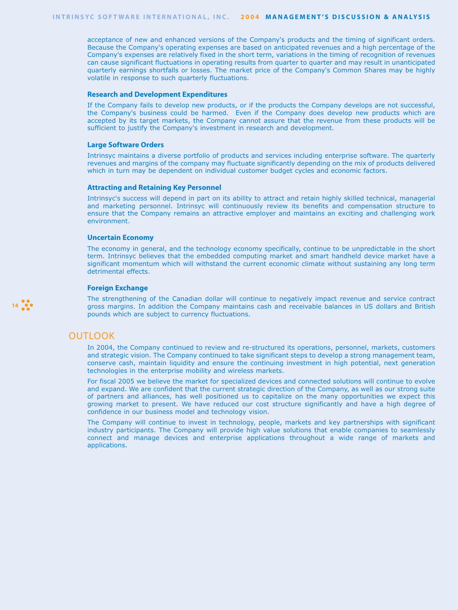acceptance of new and enhanced versions of the Company's products and the timing of significant orders. Because the Company's operating expenses are based on anticipated revenues and a high percentage of the Company's expenses are relatively fixed in the short term, variations in the timing of recognition of revenues can cause significant fluctuations in operating results from quarter to quarter and may result in unanticipated quarterly earnings shortfalls or losses. The market price of the Company's Common Shares may be highly volatile in response to such quarterly fluctuations.

### **Research and Development Expenditures**

If the Company fails to develop new products, or if the products the Company develops are not successful, the Company's business could be harmed. Even if the Company does develop new products which are accepted by its target markets, the Company cannot assure that the revenue from these products will be sufficient to justify the Company's investment in research and development.

#### **Large Software Orders**

Intrinsyc maintains a diverse portfolio of products and services including enterprise software. The quarterly revenues and margins of the company may fluctuate significantly depending on the mix of products delivered which in turn may be dependent on individual customer budget cycles and economic factors.

### **Attracting and Retaining Key Personnel**

Intrinsyc's success will depend in part on its ability to attract and retain highly skilled technical, managerial and marketing personnel. Intrinsyc will continuously review its benefits and compensation structure to ensure that the Company remains an attractive employer and maintains an exciting and challenging work environment.

#### **Uncertain Economy**

The economy in general, and the technology economy specifically, continue to be unpredictable in the short term. Intrinsyc believes that the embedded computing market and smart handheld device market have a significant momentum which will withstand the current economic climate without sustaining any long term detrimental effects.

#### **Foreign Exchange**

The strengthening of the Canadian dollar will continue to negatively impact revenue and service contract gross margins. In addition the Company maintains cash and receivable balances in US dollars and British pounds which are subject to currency fluctuations.

### OUTLOOK

14 **14** 

In 2004, the Company continued to review and re-structured its operations, personnel, markets, customers and strategic vision. The Company continued to take significant steps to develop a strong management team, conserve cash, maintain liquidity and ensure the continuing investment in high potential, next generation technologies in the enterprise mobility and wireless markets.

For fiscal 2005 we believe the market for specialized devices and connected solutions will continue to evolve and expand. We are confident that the current strategic direction of the Company, as well as our strong suite of partners and alliances, has well positioned us to capitalize on the many opportunities we expect this growing market to present. We have reduced our cost structure significantly and have a high degree of confidence in our business model and technology vision.

The Company will continue to invest in technology, people, markets and key partnerships with significant industry participants. The Company will provide high value solutions that enable companies to seamlessly connect and manage devices and enterprise applications throughout a wide range of markets and applications.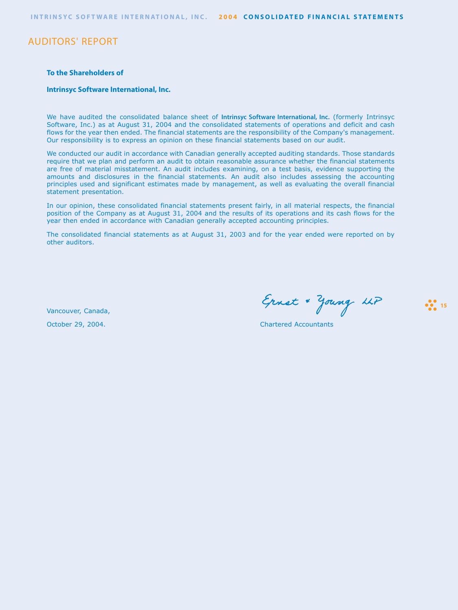**INTRINSYC SOFT WARE INTERNATIONAL, INC. 2004 CONSOLIDATED FINANCIAL STATEMENTS**

## AUDITORS' REPORT

### **To the Shareholders of**

### **Intrinsyc Software International, Inc.**

We have audited the consolidated balance sheet of **Intrinsyc Software International, Inc.** (formerly Intrinsyc Software, Inc.) as at August 31, 2004 and the consolidated statements of operations and deficit and cash flows for the year then ended. The financial statements are the responsibility of the Company's management. Our responsibility is to express an opinion on these financial statements based on our audit.

We conducted our audit in accordance with Canadian generally accepted auditing standards. Those standards require that we plan and perform an audit to obtain reasonable assurance whether the financial statements are free of material misstatement. An audit includes examining, on a test basis, evidence supporting the amounts and disclosures in the financial statements. An audit also includes assessing the accounting principles used and significant estimates made by management, as well as evaluating the overall financial statement presentation.

In our opinion, these consolidated financial statements present fairly, in all material respects, the financial position of the Company as at August 31, 2004 and the results of its operations and its cash flows for the year then ended in accordance with Canadian generally accepted accounting principles.

The consolidated financial statements as at August 31, 2003 and for the year ended were reported on by other auditors.

Vancouver, Canada,

Ernst & Young LLP

**15**<sup>15</sup>

October 29, 2004. Chartered Accountants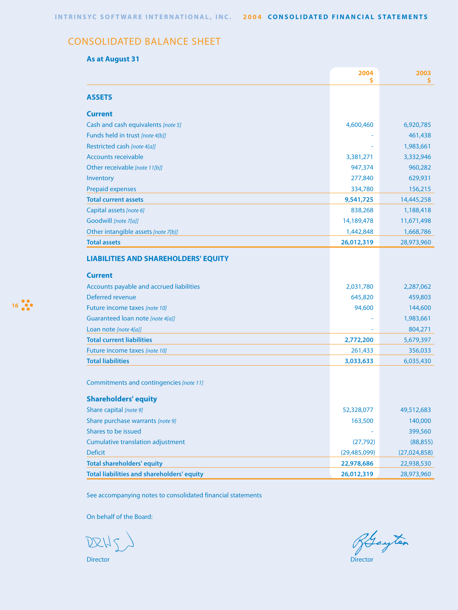# CONSOLIDATED BALANCE SHEET

## **As at August 31**

|                                                   | 2004<br>\$   | 2003<br>\$     |
|---------------------------------------------------|--------------|----------------|
| <b>ASSETS</b>                                     |              |                |
| <b>Current</b>                                    |              |                |
| Cash and cash equivalents [note 5]                | 4,600,460    | 6,920,785      |
| Funds held in trust [note 4[b]]                   |              | 461,438        |
| Restricted cash [note 4[a]]                       |              | 1,983,661      |
| <b>Accounts receivable</b>                        | 3,381,271    | 3,332,946      |
| Other receivable [note 11[b]]                     | 947,374      | 960,282        |
| Inventory                                         | 277,840      | 629,931        |
| <b>Prepaid expenses</b>                           | 334,780      | 156,215        |
| <b>Total current assets</b>                       | 9,541,725    | 14,445,258     |
| Capital assets [note 6]                           | 838,268      | 1,188,418      |
| Goodwill [note 7[a]]                              | 14,189,478   | 11,671,498     |
| Other intangible assets [note 7[b]]               | 1,442,848    | 1,668,786      |
| <b>Total assets</b>                               | 26,012,319   | 28,973,960     |
| <b>LIABILITIES AND SHAREHOLDERS' EQUITY</b>       |              |                |
| <b>Current</b>                                    |              |                |
| Accounts payable and accrued liabilities          | 2,031,780    | 2,287,062      |
| Deferred revenue                                  | 645,820      | 459,803        |
| Future income taxes [note 10]                     | 94,600       | 144,600        |
| Guaranteed loan note [note 4[a]]                  |              | 1,983,661      |
| Loan note [note 4[a]]                             |              | 804,271        |
| <b>Total current liabilities</b>                  | 2,772,200    | 5,679,397      |
| Future income taxes [note 10]                     | 261,433      | 356,033        |
| <b>Total liabilities</b>                          | 3,033,633    | 6,035,430      |
| Commitments and contingencies [note 11]           |              |                |
| <b>Shareholders' equity</b>                       |              |                |
| Share capital [note 9]                            | 52,328,077   | 49,512,683     |
| Share purchase warrants [note 9]                  | 163,500      | 140,000        |
| Shares to be issued                               |              | 399,560        |
| <b>Cumulative translation adjustment</b>          | (27, 792)    | (88, 855)      |
| <b>Deficit</b>                                    | (29,485,099) | (27, 024, 858) |
| <b>Total shareholders' equity</b>                 | 22,978,686   | 22,938,530     |
| <b>Total liabilities and shareholders' equity</b> | 26,012,319   | 28,973,960     |

See accompanying notes to consolidated financial statements

On behalf of the Board:

DRHS

Director Director

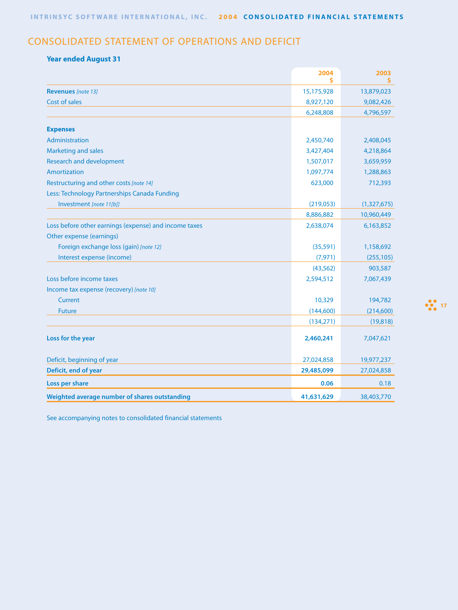# CONSOLIDATED STATEMENT OF OPERATIONS AND DEFICIT

## **Year ended August 31**

|                                                       | 2004<br>Ś  | 2003<br>s   |
|-------------------------------------------------------|------------|-------------|
| <b>Revenues</b> [note 13]                             | 15,175,928 | 13,879,023  |
| Cost of sales                                         | 8,927,120  | 9,082,426   |
|                                                       | 6,248,808  | 4,796,597   |
| <b>Expenses</b>                                       |            |             |
| Administration                                        | 2,450,740  | 2,408,045   |
| <b>Marketing and sales</b>                            | 3,427,404  | 4,218,864   |
| <b>Research and development</b>                       | 1,507,017  | 3,659,959   |
| Amortization                                          | 1,097,774  | 1,288,863   |
| Restructuring and other costs [note 14]               | 623,000    | 712,393     |
| Less: Technology Partnerships Canada Funding          |            |             |
| Investment [note 11[b]]                               | (219,053)  | (1,327,675) |
|                                                       | 8,886,882  | 10,960,449  |
| Loss before other earnings (expense) and income taxes | 2,638,074  | 6,163,852   |
| Other expense (earnings)                              |            |             |
| Foreign exchange loss (gain) [note 12]                | (35,591)   | 1,158,692   |
| Interest expense (income)                             | (7, 971)   | (255, 105)  |
|                                                       | (43, 562)  | 903,587     |
| Loss before income taxes                              | 2,594,512  | 7,067,439   |
| Income tax expense (recovery) [note 10]               |            |             |
| Current                                               | 10,329     | 194,782     |
| <b>Future</b>                                         | (144,600)  | (214,600)   |
|                                                       | (134, 271) | (19, 818)   |
| Loss for the year                                     | 2,460,241  | 7,047,621   |
| Deficit, beginning of year                            | 27,024,858 | 19,977,237  |
| Deficit, end of year                                  | 29,485,099 | 27,024,858  |
| Loss per share                                        | 0.06       | 0.18        |
| Weighted average number of shares outstanding         | 41,631,629 | 38,403,770  |

See accompanying notes to consolidated financial statements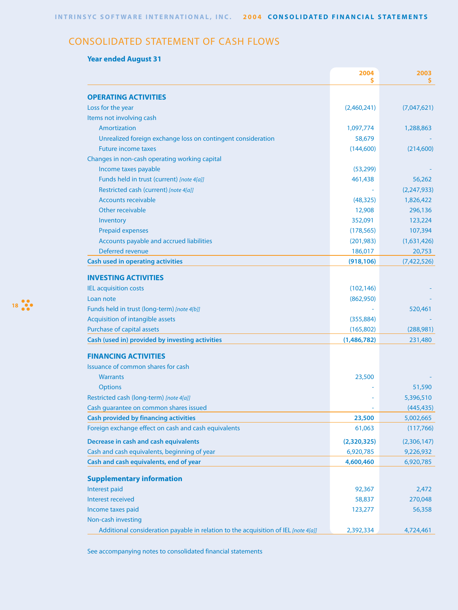# CONSOLIDATED STATEMENT OF CASH FLOWS

## **Year ended August 31**

|                                                                                    | 2004<br>s   | 2003        |
|------------------------------------------------------------------------------------|-------------|-------------|
| <b>OPERATING ACTIVITIES</b>                                                        |             |             |
| Loss for the year                                                                  | (2,460,241) | (7,047,621) |
| Items not involving cash                                                           |             |             |
| Amortization                                                                       | 1,097,774   | 1,288,863   |
| Unrealized foreign exchange loss on contingent consideration                       | 58,679      |             |
| <b>Future income taxes</b>                                                         | (144,600)   | (214,600)   |
| Changes in non-cash operating working capital                                      |             |             |
| Income taxes payable                                                               | (53, 299)   |             |
| Funds held in trust (current) [note 4[a]]                                          | 461,438     | 56,262      |
| Restricted cash (current) [note 4[a]]                                              |             | (2,247,933) |
| <b>Accounts receivable</b>                                                         | (48, 325)   | 1,826,422   |
| Other receivable                                                                   | 12,908      | 296,136     |
| Inventory                                                                          | 352,091     | 123,224     |
| <b>Prepaid expenses</b>                                                            | (178, 565)  | 107,394     |
| Accounts payable and accrued liabilities                                           | (201, 983)  | (1,631,426) |
| Deferred revenue                                                                   | 186,017     | 20,753      |
| <b>Cash used in operating activities</b>                                           | (918, 106)  | (7,422,526) |
|                                                                                    |             |             |
| <b>INVESTING ACTIVITIES</b>                                                        |             |             |
| <b>IEL acquisition costs</b>                                                       | (102, 146)  |             |
| Loan note                                                                          | (862,950)   |             |
| Funds held in trust (long-term) [note 4[b]]                                        |             | 520,461     |
| Acquisition of intangible assets                                                   | (355, 884)  |             |
| Purchase of capital assets                                                         | (165, 802)  | (288, 981)  |
| Cash (used in) provided by investing activities                                    | (1,486,782) | 231,480     |
| <b>FINANCING ACTIVITIES</b>                                                        |             |             |
| Issuance of common shares for cash                                                 |             |             |
| <b>Warrants</b>                                                                    | 23,500      |             |
| <b>Options</b>                                                                     |             | 51,590      |
| Restricted cash (long-term) [note 4[a]]                                            |             | 5,396,510   |
| Cash guarantee on common shares issued                                             |             | (445, 435)  |
| <b>Cash provided by financing activities</b>                                       | 23,500      | 5,002,665   |
| Foreign exchange effect on cash and cash equivalents                               | 61,063      | (117,766)   |
| Decrease in cash and cash equivalents                                              | (2,320,325) | (2,306,147) |
| Cash and cash equivalents, beginning of year                                       | 6,920,785   | 9,226,932   |
| Cash and cash equivalents, end of year                                             | 4,600,460   | 6,920,785   |
| <b>Supplementary information</b>                                                   |             |             |
| Interest paid                                                                      | 92,367      | 2,472       |
| Interest received                                                                  | 58,837      | 270,048     |
| Income taxes paid                                                                  | 123,277     | 56,358      |
| Non-cash investing                                                                 |             |             |
| Additional consideration payable in relation to the acquisition of IEL [note 4[a]] | 2,392,334   | 4,724,461   |

See accompanying notes to consolidated financial statements

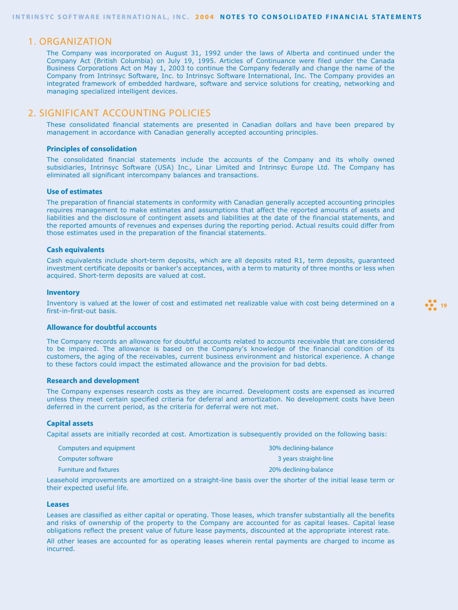### 1. ORGANIZATION

The Company was incorporated on August 31, 1992 under the laws of Alberta and continued under the Company Act (British Columbia) on July 19, 1995. Articles of Continuance were filed under the Canada Business Corporations Act on May 1, 2003 to continue the Company federally and change the name of the Company from Intrinsyc Software, Inc. to Intrinsyc Software International, Inc. The Company provides an integrated framework of embedded hardware, software and service solutions for creating, networking and managing specialized intelligent devices.

## 2. SIGNIFICANT ACCOUNTING POLICIES

These consolidated financial statements are presented in Canadian dollars and have been prepared by management in accordance with Canadian generally accepted accounting principles.

#### **Principles of consolidation**

The consolidated financial statements include the accounts of the Company and its wholly owned subsidiaries, Intrinsyc Software (USA) Inc., Linar Limited and Intrinsyc Europe Ltd. The Company has eliminated all significant intercompany balances and transactions.

### **Use of estimates**

The preparation of financial statements in conformity with Canadian generally accepted accounting principles requires management to make estimates and assumptions that affect the reported amounts of assets and liabilities and the disclosure of contingent assets and liabilities at the date of the financial statements, and the reported amounts of revenues and expenses during the reporting period. Actual results could differ from those estimates used in the preparation of the financial statements.

#### **Cash equivalents**

Cash equivalents include short-term deposits, which are all deposits rated R1, term deposits, guaranteed investment certificate deposits or banker's acceptances, with a term to maturity of three months or less when acquired. Short-term deposits are valued at cost.

#### **Inventory**

Inventory is valued at the lower of cost and estimated net realizable value with cost being determined on a first-in-first-out basis.

**19** 

#### **Allowance for doubtful accounts**

The Company records an allowance for doubtful accounts related to accounts receivable that are considered to be impaired. The allowance is based on the Company's knowledge of the financial condition of its customers, the aging of the receivables, current business environment and historical experience. A change to these factors could impact the estimated allowance and the provision for bad debts.

### **Research and development**

The Company expenses research costs as they are incurred. Development costs are expensed as incurred unless they meet certain specified criteria for deferral and amortization. No development costs have been deferred in the current period, as the criteria for deferral were not met.

#### **Capital assets**

Capital assets are initially recorded at cost. Amortization is subsequently provided on the following basis:

| Computers and equipment       | 30% declining-balance |
|-------------------------------|-----------------------|
| Computer software             | 3 years straight-line |
| <b>Furniture and fixtures</b> | 20% declining-balance |

Leasehold improvements are amortized on a straight-line basis over the shorter of the initial lease term or their expected useful life.

### **Leases**

Leases are classified as either capital or operating. Those leases, which transfer substantially all the benefits and risks of ownership of the property to the Company are accounted for as capital leases. Capital lease obligations reflect the present value of future lease payments, discounted at the appropriate interest rate.

All other leases are accounted for as operating leases wherein rental payments are charged to income as incurred.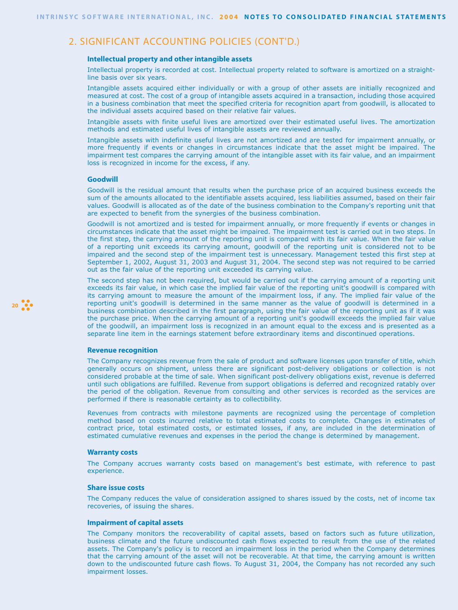## 2. SIGNIFICANT ACCOUNTING POLICIES (CONT'D.)

#### **Intellectual property and other intangible assets**

Intellectual property is recorded at cost. Intellectual property related to software is amortized on a straightline basis over six years.

Intangible assets acquired either individually or with a group of other assets are initially recognized and measured at cost. The cost of a group of intangible assets acquired in a transaction, including those acquired in a business combination that meet the specified criteria for recognition apart from goodwill, is allocated to the individual assets acquired based on their relative fair values.

Intangible assets with finite useful lives are amortized over their estimated useful lives. The amortization methods and estimated useful lives of intangible assets are reviewed annually.

Intangible assets with indefinite useful lives are not amortized and are tested for impairment annually, or more frequently if events or changes in circumstances indicate that the asset might be impaired. The impairment test compares the carrying amount of the intangible asset with its fair value, and an impairment loss is recognized in income for the excess, if any.

#### **Goodwill**

Goodwill is the residual amount that results when the purchase price of an acquired business exceeds the sum of the amounts allocated to the identifiable assets acquired, less liabilities assumed, based on their fair values. Goodwill is allocated as of the date of the business combination to the Company's reporting unit that are expected to benefit from the synergies of the business combination.

Goodwill is not amortized and is tested for impairment annually, or more frequently if events or changes in circumstances indicate that the asset might be impaired. The impairment test is carried out in two steps. In the first step, the carrying amount of the reporting unit is compared with its fair value. When the fair value of a reporting unit exceeds its carrying amount, goodwill of the reporting unit is considered not to be impaired and the second step of the impairment test is unnecessary. Management tested this first step at September 1, 2002, August 31, 2003 and August 31, 2004. The second step was not required to be carried out as the fair value of the reporting unit exceeded its carrying value.

The second step has not been required, but would be carried out if the carrying amount of a reporting unit exceeds its fair value, in which case the implied fair value of the reporting unit's goodwill is compared with its carrying amount to measure the amount of the impairment loss, if any. The implied fair value of the reporting unit's goodwill is determined in the same manner as the value of goodwill is determined in a business combination described in the first paragraph, using the fair value of the reporting unit as if it was the purchase price. When the carrying amount of a reporting unit's goodwill exceeds the implied fair value of the goodwill, an impairment loss is recognized in an amount equal to the excess and is presented as a separate line item in the earnings statement before extraordinary items and discontinued operations.

#### **Revenue recognition**

The Company recognizes revenue from the sale of product and software licenses upon transfer of title, which generally occurs on shipment, unless there are significant post-delivery obligations or collection is not considered probable at the time of sale. When significant post-delivery obligations exist, revenue is deferred until such obligations are fulfilled. Revenue from support obligations is deferred and recognized ratably over the period of the obligation. Revenue from consulting and other services is recorded as the services are performed if there is reasonable certainty as to collectibility.

Revenues from contracts with milestone payments are recognized using the percentage of completion method based on costs incurred relative to total estimated costs to complete. Changes in estimates of contract price, total estimated costs, or estimated losses, if any, are included in the determination of estimated cumulative revenues and expenses in the period the change is determined by management.

#### **Warranty costs**

The Company accrues warranty costs based on management's best estimate, with reference to past experience.

#### **Share issue costs**

The Company reduces the value of consideration assigned to shares issued by the costs, net of income tax recoveries, of issuing the shares.

### **Impairment of capital assets**

The Company monitors the recoverability of capital assets, based on factors such as future utilization, business climate and the future undiscounted cash flows expected to result from the use of the related assets. The Company's policy is to record an impairment loss in the period when the Company determines that the carrying amount of the asset will not be recoverable. At that time, the carrying amount is written down to the undiscounted future cash flows. To August 31, 2004, the Company has not recorded any such impairment losses.

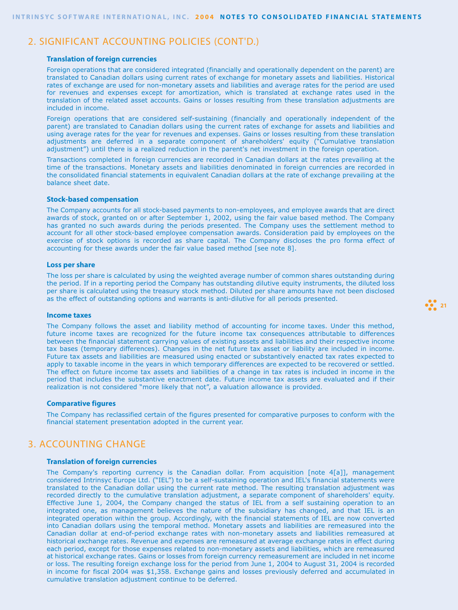## 2. SIGNIFICANT ACCOUNTING POLICIES (CONT'D.)

#### **Translation of foreign currencies**

Foreign operations that are considered integrated (financially and operationally dependent on the parent) are translated to Canadian dollars using current rates of exchange for monetary assets and liabilities. Historical rates of exchange are used for non-monetary assets and liabilities and average rates for the period are used for revenues and expenses except for amortization, which is translated at exchange rates used in the translation of the related asset accounts. Gains or losses resulting from these translation adjustments are included in income.

Foreign operations that are considered self-sustaining (financially and operationally independent of the parent) are translated to Canadian dollars using the current rates of exchange for assets and liabilities and using average rates for the year for revenues and expenses. Gains or losses resulting from these translation adjustments are deferred in a separate component of shareholders' equity ("Cumulative translation adjustment") until there is a realized reduction in the parent's net investment in the foreign operation.

Transactions completed in foreign currencies are recorded in Canadian dollars at the rates prevailing at the time of the transactions. Monetary assets and liabilities denominated in foreign currencies are recorded in the consolidated financial statements in equivalent Canadian dollars at the rate of exchange prevailing at the balance sheet date.

### **Stock-based compensation**

The Company accounts for all stock-based payments to non-employees, and employee awards that are direct awards of stock, granted on or after September 1, 2002, using the fair value based method. The Company has granted no such awards during the periods presented. The Company uses the settlement method to account for all other stock-based employee compensation awards. Consideration paid by employees on the exercise of stock options is recorded as share capital. The Company discloses the pro forma effect of accounting for these awards under the fair value based method [see note 8].

#### **Loss per share**

The loss per share is calculated by using the weighted average number of common shares outstanding during the period. If in a reporting period the Company has outstanding dilutive equity instruments, the diluted loss per share is calculated using the treasury stock method. Diluted per share amounts have not been disclosed as the effect of outstanding options and warrants is anti-dilutive for all periods presented.

#### **Income taxes**

The Company follows the asset and liability method of accounting for income taxes. Under this method, future income taxes are recognized for the future income tax consequences attributable to differences between the financial statement carrying values of existing assets and liabilities and their respective income tax bases (temporary differences). Changes in the net future tax asset or liability are included in income. Future tax assets and liabilities are measured using enacted or substantively enacted tax rates expected to apply to taxable income in the years in which temporary differences are expected to be recovered or settled. The effect on future income tax assets and liabilities of a change in tax rates is included in income in the period that includes the substantive enactment date. Future income tax assets are evaluated and if their realization is not considered "more likely that not", a valuation allowance is provided.

#### **Comparative figures**

The Company has reclassified certain of the figures presented for comparative purposes to conform with the financial statement presentation adopted in the current year.

## 3. ACCOUNTING CHANGE

### **Translation of foreign currencies**

The Company's reporting currency is the Canadian dollar. From acquisition [note 4[a]], management considered Intrinsyc Europe Ltd. ("IEL") to be a self-sustaining operation and IEL's financial statements were translated to the Canadian dollar using the current rate method. The resulting translation adjustment was recorded directly to the cumulative translation adjustment, a separate component of shareholders' equity. Effective June 1, 2004, the Company changed the status of IEL from a self sustaining operation to an integrated one, as management believes the nature of the subsidiary has changed, and that IEL is an integrated operation within the group. Accordingly, with the financial statements of IEL are now converted into Canadian dollars using the temporal method. Monetary assets and liabilities are remeasured into the Canadian dollar at end-of-period exchange rates with non-monetary assets and liabilities remeasured at historical exchange rates. Revenue and expenses are remeasured at average exchange rates in effect during each period, except for those expenses related to non-monetary assets and liabilities, which are remeasured at historical exchange rates. Gains or losses from foreign currency remeasurement are included in net income or loss. The resulting foreign exchange loss for the period from June 1, 2004 to August 31, 2004 is recorded in income for fiscal 2004 was \$1,358. Exchange gains and losses previously deferred and accumulated in cumulative translation adjustment continue to be deferred.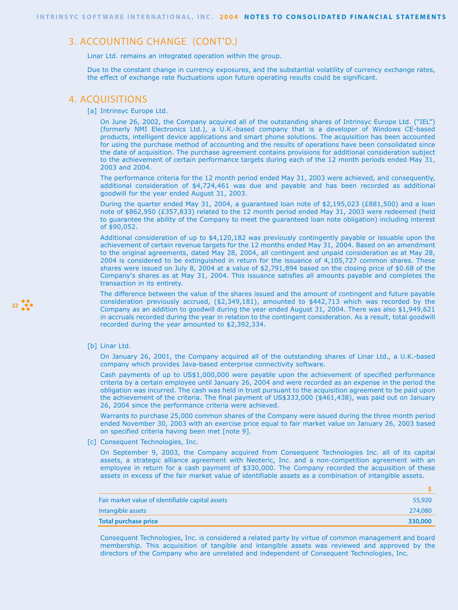## 3. ACCOUNTING CHANGE (CONT'D.)

Linar Ltd. remains an integrated operation within the group.

Due to the constant change in currency exposures, and the substantial volatility of currency exchange rates, the effect of exchange rate fluctuations upon future operating results could be significant.

### 4. ACQUISITIONS

[a] Intrinsyc Europe Ltd.

On June 26, 2002, the Company acquired all of the outstanding shares of Intrinsyc Europe Ltd. ("IEL") (formerly NMI Electronics Ltd.), a U.K.-based company that is a developer of Windows CE-based products, intelligent device applications and smart phone solutions. The acquisition has been accounted for using the purchase method of accounting and the results of operations have been consolidated since the date of acquisition. The purchase agreement contains provisions for additional consideration subject to the achievement of certain performance targets during each of the 12 month periods ended May 31, 2003 and 2004.

The performance criteria for the 12 month period ended May 31, 2003 were achieved, and consequently, additional consideration of \$4,724,461 was due and payable and has been recorded as additional goodwill for the year ended August 31, 2003.

During the quarter ended May 31, 2004, a guaranteed loan note of \$2,195,023 (£881,500) and a loan note of \$862,950 (£357,833) related to the 12 month period ended May 31, 2003 were redeemed (held to guarantee the ability of the Company to meet the guaranteed loan note obligation) including interest of \$90,052.

Additional consideration of up to \$4,120,182 was previously contingently payable or issuable upon the achievement of certain revenue targets for the 12 months ended May 31, 2004. Based on an amendment to the original agreements, dated May 28, 2004, all contingent and unpaid consideration as at May 28, 2004 is considered to be extinguished in return for the issuance of 4,105,727 common shares. These shares were issued on July 8, 2004 at a value of \$2,791,894 based on the closing price of \$0.68 of the Company's shares as at May 31, 2004. This issuance satisfies all amounts payable and completes the transaction in its entirety.

The difference between the value of the shares issued and the amount of contingent and future payable consideration previously accrued, (\$2,349,181), amounted to \$442,713 which was recorded by the Company as an addition to goodwill during the year ended August 31, 2004. There was also \$1,949,621 in accruals recorded during the year in relation to the contingent consideration. As a result, total goodwill recorded during the year amounted to \$2,392,334.

[b] Linar Ltd.

**22**

On January 26, 2001, the Company acquired all of the outstanding shares of Linar Ltd., a U.K.-based company which provides Java-based enterprise connectivity software.

Cash payments of up to US\$1,000,000 were payable upon the achievement of specified performance criteria by a certain employee until January 26, 2004 and were recorded as an expense in the period the obligation was incurred. The cash was held in trust pursuant to the acquisition agreement to be paid upon the achievement of the criteria. The final payment of US\$333,000 (\$461,438), was paid out on January 26, 2004 since the performance criteria were achieved.

Warrants to purchase 25,000 common shares of the Company were issued during the three month period ended November 30, 2003 with an exercise price equal to fair market value on January 26, 2003 based on specified criteria having been met [note 9].

[c] Consequent Technologies, Inc.

On September 9, 2003, the Company acquired from Consequent Technologies Inc. all of its capital assets, a strategic alliance agreement with Neoteric, Inc. and a non-competition agreement with an employee in return for a cash payment of \$330,000. The Company recorded the acquisition of these assets in excess of the fair market value of identifiable assets as a combination of intangible assets.

**\$**

| Fair market value of identifiable capital assets | 55,920  |
|--------------------------------------------------|---------|
| Intangible assets                                | 274,080 |
| <b>Total purchase price</b>                      | 330,000 |
|                                                  |         |

Consequent Technologies, Inc. is considered a related party by virtue of common management and board membership. This acquisition of tangible and intangible assets was reviewed and approved by the directors of the Company who are unrelated and independent of Consequent Technologies, Inc.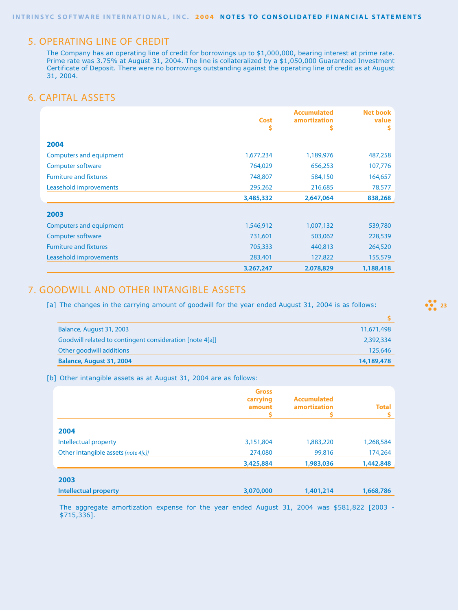## 5. OPERATING LINE OF CREDIT

The Company has an operating line of credit for borrowings up to \$1,000,000, bearing interest at prime rate. Prime rate was 3.75% at August 31, 2004. The line is collateralized by a \$1,050,000 Guaranteed Investment Certificate of Deposit. There were no borrowings outstanding against the operating line of credit as at August 31, 2004.

## 6. CAPITAL ASSETS

|                                | <b>Cost</b> | <b>Accumulated</b><br>amortization | <b>Net book</b><br>value |
|--------------------------------|-------------|------------------------------------|--------------------------|
|                                |             |                                    | s                        |
| 2004                           |             |                                    |                          |
| Computers and equipment        | 1,677,234   | 1,189,976                          | 487,258                  |
| Computer software              | 764,029     | 656,253                            | 107,776                  |
| <b>Furniture and fixtures</b>  | 748,807     | 584,150                            | 164,657                  |
| Leasehold improvements         | 295,262     | 216,685                            | 78,577                   |
|                                | 3,485,332   | 2,647,064                          | 838,268                  |
| 2003                           |             |                                    |                          |
| <b>Computers and equipment</b> | 1,546,912   | 1,007,132                          | 539,780                  |
| Computer software              | 731,601     | 503,062                            | 228,539                  |
| <b>Furniture and fixtures</b>  | 705,333     | 440,813                            | 264,520                  |
| Leasehold improvements         | 283,401     | 127,822                            | 155,579                  |
|                                | 3,267,247   | 2,078,829                          | 1,188,418                |

## 7. GOODWILL AND OTHER INTANGIBLE ASSETS

[a] The changes in the carrying amount of goodwill for the year ended August 31, 2004 is as follows:

| Balance, August 31, 2003                                 | 11,671,498 |
|----------------------------------------------------------|------------|
| Goodwill related to contingent consideration [note 4[a]] | 2,392,334  |
| Other goodwill additions                                 | 125,646    |
| Balance, August 31, 2004                                 | 14,189,478 |
|                                                          |            |

[b] Other intangible assets as at August 31, 2004 are as follows:

|                                     | <b>Gross</b><br>carrying<br>amount | <b>Accumulated</b><br>amortization<br>S | <b>Total</b> |
|-------------------------------------|------------------------------------|-----------------------------------------|--------------|
| 2004                                |                                    |                                         |              |
| Intellectual property               | 3,151,804                          | 1,883,220                               | 1,268,584    |
| Other intangible assets [note 4[c]] | 274,080                            | 99,816                                  | 174,264      |
|                                     | 3,425,884                          | 1,983,036                               | 1,442,848    |
| 2003                                |                                    |                                         |              |
| <b>Intellectual property</b>        | 3,070,000                          | 1,401,214                               | 1,668,786    |

The aggregate amortization expense for the year ended August 31, 2004 was \$581,822 [2003 - \$715,336].

 $\frac{23}{22}$  23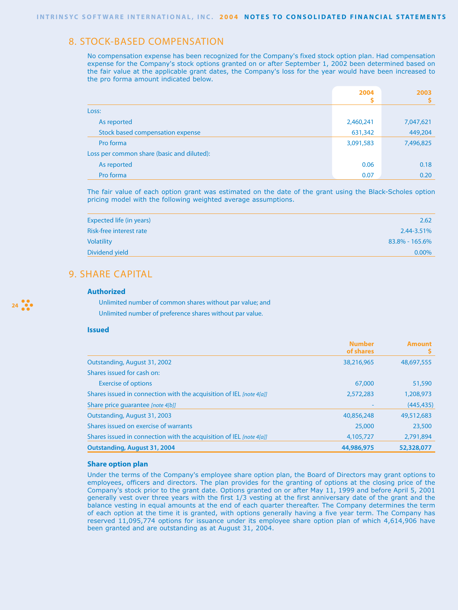## 8. STOCK-BASED COMPENSATION

No compensation expense has been recognized for the Company's fixed stock option plan. Had compensation expense for the Company's stock options granted on or after September 1, 2002 been determined based on the fair value at the applicable grant dates, the Company's loss for the year would have been increased to the pro forma amount indicated below.

|                                            | 2004      | 2003      |
|--------------------------------------------|-----------|-----------|
|                                            |           |           |
| Loss:                                      |           |           |
| As reported                                | 2,460,241 | 7,047,621 |
| Stock based compensation expense           | 631,342   | 449,204   |
| Pro forma                                  | 3,091,583 | 7,496,825 |
| Loss per common share (basic and diluted): |           |           |
| As reported                                | 0.06      | 0.18      |
| Pro forma                                  | 0.07      | 0.20      |

The fair value of each option grant was estimated on the date of the grant using the Black-Scholes option pricing model with the following weighted average assumptions.

| Expected life (in years) | 2.62           |
|--------------------------|----------------|
| Risk-free interest rate  | 2.44-3.51%     |
| <b>Volatility</b>        | 83.8% - 165.6% |
| Dividend yield           | $0.00\%$       |
|                          |                |

# 9. SHARE CAPITAL

### **Authorized**

Unlimited number of common shares without par value; and Unlimited number of preference shares without par value.

### **Issued**

**24**

|                                                                     | <b>Number</b><br>of shares | <b>Amount</b><br>s |
|---------------------------------------------------------------------|----------------------------|--------------------|
| Outstanding, August 31, 2002                                        | 38,216,965                 | 48,697,555         |
| Shares issued for cash on:                                          |                            |                    |
| <b>Exercise of options</b>                                          | 67,000                     | 51,590             |
| Shares issued in connection with the acquisition of IEL [note 4[a]] | 2,572,283                  | 1,208,973          |
| Share price quarantee [note 4[b]]                                   |                            | (445, 435)         |
| Outstanding, August 31, 2003                                        | 40,856,248                 | 49,512,683         |
| Shares issued on exercise of warrants                               | 25,000                     | 23,500             |
| Shares issued in connection with the acquisition of IEL [note 4[a]] | 4,105,727                  | 2,791,894          |
| <b>Outstanding, August 31, 2004</b>                                 | 44,986,975                 | 52,328,077         |

### **Share option plan**

Under the terms of the Company's employee share option plan, the Board of Directors may grant options to employees, officers and directors. The plan provides for the granting of options at the closing price of the Company's stock prior to the grant date. Options granted on or after May 11, 1999 and before April 5, 2001 generally vest over three years with the first 1/3 vesting at the first anniversary date of the grant and the balance vesting in equal amounts at the end of each quarter thereafter. The Company determines the term of each option at the time it is granted, with options generally having a five year term. The Company has reserved 11,095,774 options for issuance under its employee share option plan of which 4,614,906 have been granted and are outstanding as at August 31, 2004.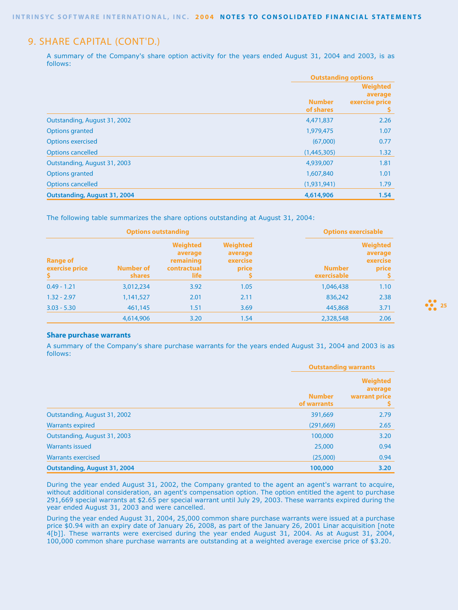## 9. SHARE CAPITAL (CONT'D.)

A summary of the Company's share option activity for the years ended August 31, 2004 and 2003, is as follows:

|                                     |                            | <b>Outstanding options</b>                        |  |
|-------------------------------------|----------------------------|---------------------------------------------------|--|
|                                     | <b>Number</b><br>of shares | <b>Weighted</b><br>average<br>exercise price<br>Ş |  |
| Outstanding, August 31, 2002        | 4,471,837                  | 2.26                                              |  |
| <b>Options granted</b>              | 1,979,475                  | 1.07                                              |  |
| <b>Options exercised</b>            | (67,000)                   | 0.77                                              |  |
| <b>Options cancelled</b>            | (1,445,305)                | 1.32                                              |  |
| Outstanding, August 31, 2003        | 4,939,007                  | 1.81                                              |  |
| <b>Options granted</b>              | 1,607,840                  | 1.01                                              |  |
| <b>Options cancelled</b>            | (1,931,941)                | 1.79                                              |  |
| <b>Outstanding, August 31, 2004</b> | 4,614,906                  | 1.54                                              |  |

The following table summarizes the share options outstanding at August 31, 2004:

| <b>Options outstanding</b>              |                                   | <b>Options exercisable</b>                                     |                                                 |                              |                                                 |
|-----------------------------------------|-----------------------------------|----------------------------------------------------------------|-------------------------------------------------|------------------------------|-------------------------------------------------|
| <b>Range of</b><br>exercise price<br>Š. | <b>Number of</b><br><b>shares</b> | <b>Weighted</b><br>average<br>remaining<br>contractual<br>life | <b>Weighted</b><br>average<br>exercise<br>price | <b>Number</b><br>exercisable | <b>Weighted</b><br>average<br>exercise<br>price |
| $0.49 - 1.21$                           | 3,012,234                         | 3.92                                                           | 1.05                                            | 1,046,438                    | 1.10                                            |
| $1.32 - 2.97$                           | 1,141,527                         | 2.01                                                           | 2.11                                            | 836,242                      | 2.38                                            |
| $3.03 - 5.30$                           | 461,145                           | 1.51                                                           | 3.69                                            | 445,868                      | 3.71                                            |
|                                         | 4,614,906                         | 3.20                                                           | 1.54                                            | 2,328,548                    | 2.06                                            |

### **Share purchase warrants**

A summary of the Company's share purchase warrants for the years ended August 31, 2004 and 2003 is as follows:

|                                     | <b>Outstanding warrants</b>  |                                             |
|-------------------------------------|------------------------------|---------------------------------------------|
|                                     | <b>Number</b><br>of warrants | <b>Weighted</b><br>average<br>warrant price |
| Outstanding, August 31, 2002        | 391,669                      | 2.79                                        |
| <b>Warrants expired</b>             | (291, 669)                   | 2.65                                        |
| Outstanding, August 31, 2003        | 100,000                      | 3.20                                        |
| <b>Warrants issued</b>              | 25,000                       | 0.94                                        |
| <b>Warrants exercised</b>           | (25,000)                     | 0.94                                        |
| <b>Outstanding, August 31, 2004</b> | 100,000                      | 3.20                                        |

During the year ended August 31, 2002, the Company granted to the agent an agent's warrant to acquire, without additional consideration, an agent's compensation option. The option entitled the agent to purchase 291,669 special warrants at \$2.65 per special warrant until July 29, 2003. These warrants expired during the year ended August 31, 2003 and were cancelled.

During the year ended August 31, 2004, 25,000 common share purchase warrants were issued at a purchase price \$0.94 with an expiry date of January 26, 2008, as part of the January 26, 2001 Linar acquisition [note 4[b]]. These warrants were exercised during the year ended August 31, 2004. As at August 31, 2004, 100,000 common share purchase warrants are outstanding at a weighted average exercise price of \$3.20.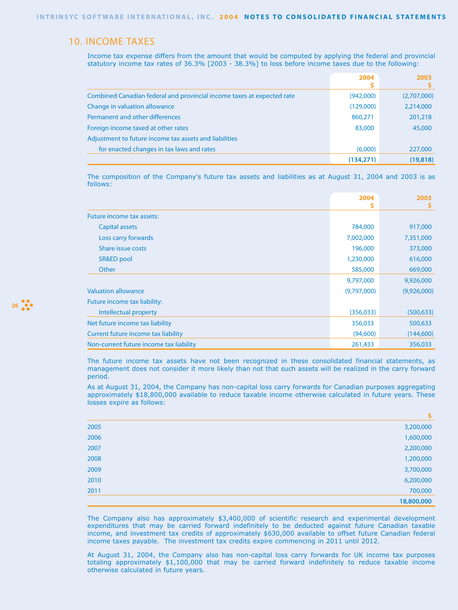## 10. INCOME TAXES

Income tax expense differs from the amount that would be computed by applying the federal and provincial statutory income tax rates of 36.3% [2003 - 38.3%] to loss before income taxes due to the following:

|                                                                        | 2004       | 2003        |
|------------------------------------------------------------------------|------------|-------------|
| Combined Canadian federal and provincial income taxes at expected rate | (942,000)  | (2,707,000) |
| Change in valuation allowance                                          | (129,000)  | 2,214,000   |
| Permanent and other differences                                        | 860,271    | 201,218     |
| Foreign income taxed at other rates                                    | 83,000     | 45,000      |
| Adjustment to future income tax assets and liabilities                 |            |             |
| for enacted changes in tax laws and rates                              | (6,000)    | 227,000     |
|                                                                        | (134, 271) | (19, 818)   |

The composition of the Company's future tax assets and liabilities as at August 31, 2004 and 2003 is as follows:

|                                         | 2004        | 2003        |
|-----------------------------------------|-------------|-------------|
|                                         |             |             |
| Future income tax assets:               |             |             |
| Capital assets                          | 784,000     | 917,000     |
| Loss carry forwards                     | 7,002,000   | 7,351,000   |
| Share issue costs                       | 196,000     | 373,000     |
| SR&ED pool                              | 1,230,000   | 616,000     |
| Other                                   | 585,000     | 669,000     |
|                                         | 9,797,000   | 9,926,000   |
| <b>Valuation allowance</b>              | (9,797,000) | (9,926,000) |
| Future income tax liability:            |             |             |
| Intellectual property                   | (356, 033)  | (500, 633)  |
| Net future income tax liability         | 356,033     | 500,633     |
| Current future income tax liability     | (94,600)    | (144, 600)  |
| Non-current future income tax liability | 261,433     | 356,033     |

The future income tax assets have not been recognized in these consolidated financial statements, as management does not consider it more likely than not that such assets will be realized in the carry forward period.

As at August 31, 2004, the Company has non-capital loss carry forwards for Canadian purposes aggregating approximately \$18,800,000 available to reduce taxable income otherwise calculated in future years. These losses expire as follows:

|      | \$         |
|------|------------|
| 2005 | 3,200,000  |
| 2006 | 1,600,000  |
| 2007 | 2,200,000  |
| 2008 | 1,200,000  |
| 2009 | 3,700,000  |
| 2010 | 6,200,000  |
| 2011 | 700,000    |
|      | 18,800,000 |

The Company also has approximately \$3,400,000 of scientific research and experimental development expenditures that may be carried forward indefinitely to be deducted against future Canadian taxable income, and investment tax credits of approximately \$630,000 available to offset future Canadian federal income taxes payable. The investment tax credits expire commencing in 2011 until 2012.

At August 31, 2004, the Company also has non-capital loss carry forwards for UK income tax purposes totaling approximately \$1,100,000 that may be carried forward indefinitely to reduce taxable income otherwise calculated in future years.

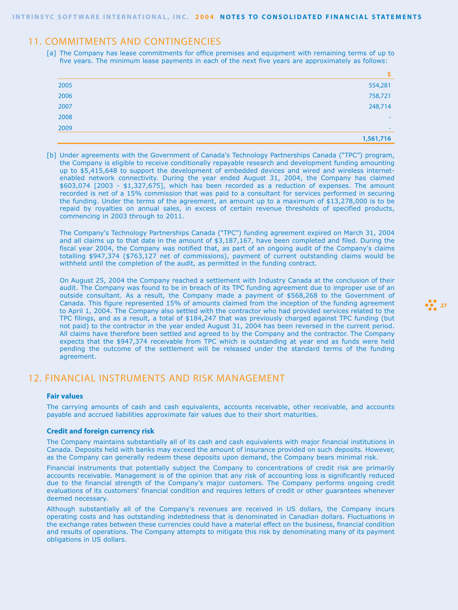## 11. COMMITMENTS AND CONTINGENCIES

[a] The Company has lease commitments for office premises and equipment with remaining terms of up to five years. The minimum lease payments in each of the next five years are approximately as follows:

| 2005 | 554,281                  |
|------|--------------------------|
| 2006 | 758,721                  |
| 2007 | 248,714                  |
| 2008 |                          |
| 2009 | $\overline{\phantom{a}}$ |
|      | 1,561,716                |

[b] Under agreements with the Government of Canada's Technology Partnerships Canada ("TPC") program, the Company is eligible to receive conditionally repayable research and development funding amounting up to \$5,415,648 to support the development of embedded devices and wired and wireless internetenabled network connectivity. During the year ended August 31, 2004, the Company has claimed \$603,074 [2003 - \$1,327,675], which has been recorded as a reduction of expenses. The amount recorded is net of a 15% commission that was paid to a consultant for services performed in securing the funding. Under the terms of the agreement, an amount up to a maximum of \$13,278,000 is to be repaid by royalties on annual sales, in excess of certain revenue thresholds of specified products, commencing in 2003 through to 2011.

The Company's Technology Partnerships Canada ("TPC") funding agreement expired on March 31, 2004 and all claims up to that date in the amount of \$3,187,167, have been completed and filed. During the fiscal year 2004, the Company was notified that, as part of an ongoing audit of the Company's claims totalling \$947,374 (\$763,127 net of commissions), payment of current outstanding claims would be withheld until the completion of the audit, as permitted in the funding contract.

On August 25, 2004 the Company reached a settlement with Industry Canada at the conclusion of their audit. The Company was found to be in breach of its TPC funding agreement due to improper use of an outside consultant. As a result, the Company made a payment of \$568,268 to the Government of Canada. This figure represented 15% of amounts claimed from the inception of the funding agreement to April 1, 2004. The Company also settled with the contractor who had provided services related to the TPC filings, and as a result, a total of \$184,247 that was previously charged against TPC funding (but not paid) to the contractor in the year ended August 31, 2004 has been reversed in the current period. All claims have therefore been settled and agreed to by the Company and the contractor. The Company expects that the \$947,374 receivable from TPC which is outstanding at year end as funds were held pending the outcome of the settlement will be released under the standard terms of the funding agreement.

## 12. FINANCIAL INSTRUMENTS AND RISK MANAGEMENT

### **Fair values**

The carrying amounts of cash and cash equivalents, accounts receivable, other receivable, and accounts payable and accrued liabilities approximate fair values due to their short maturities.

### **Credit and foreign currency risk**

The Company maintains substantially all of its cash and cash equivalents with major financial institutions in Canada. Deposits held with banks may exceed the amount of insurance provided on such deposits. However, as the Company can generally redeem these deposits upon demand, the Company bears minimal risk.

Financial instruments that potentially subject the Company to concentrations of credit risk are primarily accounts receivable. Management is of the opinion that any risk of accounting loss is significantly reduced due to the financial strength of the Company's major customers. The Company performs ongoing credit evaluations of its customers' financial condition and requires letters of credit or other guarantees whenever deemed necessary.

Although substantially all of the Company's revenues are received in US dollars, the Company incurs operating costs and has outstanding indebtedness that is denominated in Canadian dollars. Fluctuations in the exchange rates between these currencies could have a material effect on the business, financial condition and results of operations. The Company attempts to mitigate this risk by denominating many of its payment obligations in US dollars.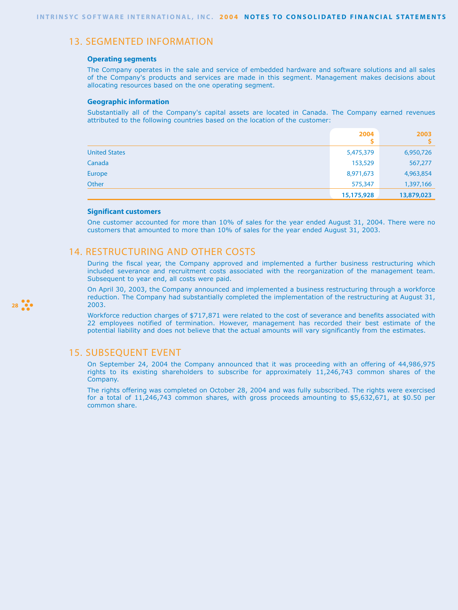## 13. SEGMENTED INFORMATION

### **Operating segments**

The Company operates in the sale and service of embedded hardware and software solutions and all sales of the Company's products and services are made in this segment. Management makes decisions about allocating resources based on the one operating segment.

### **Geographic information**

Substantially all of the Company's capital assets are located in Canada. The Company earned revenues attributed to the following countries based on the location of the customer:

|                      | 2004       | 2003       |
|----------------------|------------|------------|
| <b>United States</b> | 5,475,379  | 6,950,726  |
| Canada               | 153,529    | 567,277    |
| Europe               | 8,971,673  | 4,963,854  |
| Other                | 575,347    | 1,397,166  |
|                      | 15,175,928 | 13,879,023 |

### **Significant customers**

One customer accounted for more than 10% of sales for the year ended August 31, 2004. There were no customers that amounted to more than 10% of sales for the year ended August 31, 2003.

## 14. RESTRUCTURING AND OTHER COSTS

During the fiscal year, the Company approved and implemented a further business restructuring which included severance and recruitment costs associated with the reorganization of the management team. Subsequent to year end, all costs were paid.

On April 30, 2003, the Company announced and implemented a business restructuring through a workforce reduction. The Company had substantially completed the implementation of the restructuring at August 31, 2003.

Workforce reduction charges of \$717,871 were related to the cost of severance and benefits associated with 22 employees notified of termination. However, management has recorded their best estimate of the potential liability and does not believe that the actual amounts will vary significantly from the estimates.

## 15. SUBSEQUENT EVENT

On September 24, 2004 the Company announced that it was proceeding with an offering of 44,986,975 rights to its existing shareholders to subscribe for approximately 11,246,743 common shares of the Company.

The rights offering was completed on October 28, 2004 and was fully subscribed. The rights were exercised for a total of 11,246,743 common shares, with gross proceeds amounting to \$5,632,671, at \$0.50 per common share.

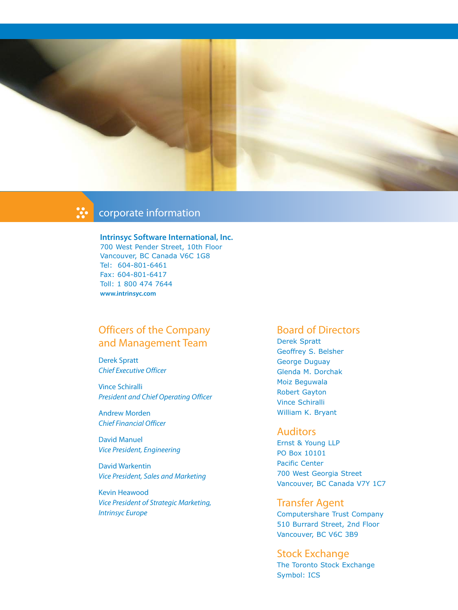

# corporate information

### **Intrinsyc Software International, Inc.** 700 West Pender Street, 10th Floor

Vancouver, BC Canada V6C 1G8 Tel: 604-801-6461 Fax: 604-801-6417 Toll: 1 800 474 7644 **www.intrinsyc.com**

# Officers of the Company and Management Team

Derek Spratt Chief Executive Officer

Vince Schiralli President and Chief Operating Officer

Andrew Morden Chief Financial Officer

David Manuel Vice President, Engineering

David Warkentin Vice President, Sales and Marketing

Kevin Heawood Vice President of Strategic Marketing, Intrinsyc Europe

## Board of Directors

Derek Spratt Geoffrey S. Belsher George Duguay Glenda M. Dorchak Moiz Beguwala Robert Gayton Vince Schiralli William K. Bryant

## **Auditors**

Ernst & Young LLP PO Box 10101 Pacific Center 700 West Georgia Street Vancouver, BC Canada V7Y 1C7

## Transfer Agent

Computershare Trust Company 510 Burrard Street, 2nd Floor Vancouver, BC V6C 3B9

Stock Exchange The Toronto Stock Exchange Symbol: ICS